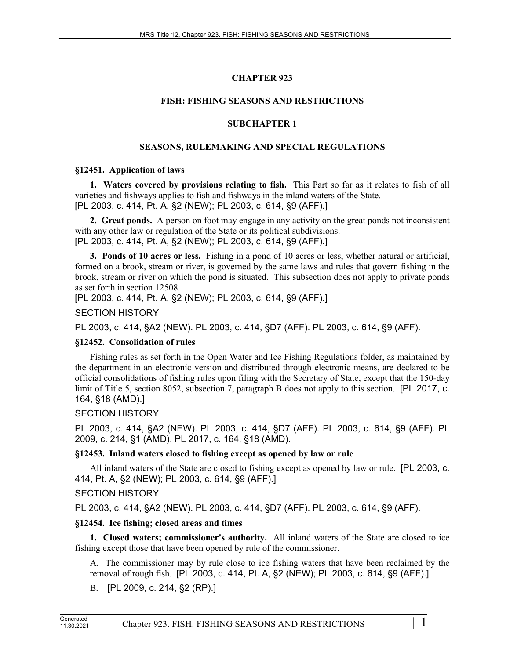# **CHAPTER 923**

## **FISH: FISHING SEASONS AND RESTRICTIONS**

## **SUBCHAPTER 1**

## **SEASONS, RULEMAKING AND SPECIAL REGULATIONS**

#### **§12451. Application of laws**

**1. Waters covered by provisions relating to fish.** This Part so far as it relates to fish of all varieties and fishways applies to fish and fishways in the inland waters of the State. [PL 2003, c. 414, Pt. A, §2 (NEW); PL 2003, c. 614, §9 (AFF).]

**2. Great ponds.** A person on foot may engage in any activity on the great ponds not inconsistent with any other law or regulation of the State or its political subdivisions. [PL 2003, c. 414, Pt. A, §2 (NEW); PL 2003, c. 614, §9 (AFF).]

**3. Ponds of 10 acres or less.** Fishing in a pond of 10 acres or less, whether natural or artificial, formed on a brook, stream or river, is governed by the same laws and rules that govern fishing in the brook, stream or river on which the pond is situated. This subsection does not apply to private ponds as set forth in section 12508.

[PL 2003, c. 414, Pt. A, §2 (NEW); PL 2003, c. 614, §9 (AFF).]

SECTION HISTORY

PL 2003, c. 414, §A2 (NEW). PL 2003, c. 414, §D7 (AFF). PL 2003, c. 614, §9 (AFF).

## **§12452. Consolidation of rules**

Fishing rules as set forth in the Open Water and Ice Fishing Regulations folder, as maintained by the department in an electronic version and distributed through electronic means, are declared to be official consolidations of fishing rules upon filing with the Secretary of State, except that the 150-day limit of Title 5, section 8052, subsection 7, paragraph B does not apply to this section. [PL 2017, c. 164, §18 (AMD).]

# SECTION HISTORY

PL 2003, c. 414, §A2 (NEW). PL 2003, c. 414, §D7 (AFF). PL 2003, c. 614, §9 (AFF). PL 2009, c. 214, §1 (AMD). PL 2017, c. 164, §18 (AMD).

# **§12453. Inland waters closed to fishing except as opened by law or rule**

All inland waters of the State are closed to fishing except as opened by law or rule. [PL 2003, c. 414, Pt. A, §2 (NEW); PL 2003, c. 614, §9 (AFF).]

# SECTION HISTORY

PL 2003, c. 414, §A2 (NEW). PL 2003, c. 414, §D7 (AFF). PL 2003, c. 614, §9 (AFF).

# **§12454. Ice fishing; closed areas and times**

**1. Closed waters; commissioner's authority.** All inland waters of the State are closed to ice fishing except those that have been opened by rule of the commissioner.

A. The commissioner may by rule close to ice fishing waters that have been reclaimed by the removal of rough fish. [PL 2003, c. 414, Pt. A, §2 (NEW); PL 2003, c. 614, §9 (AFF).]

B. [PL 2009, c. 214, §2 (RP).]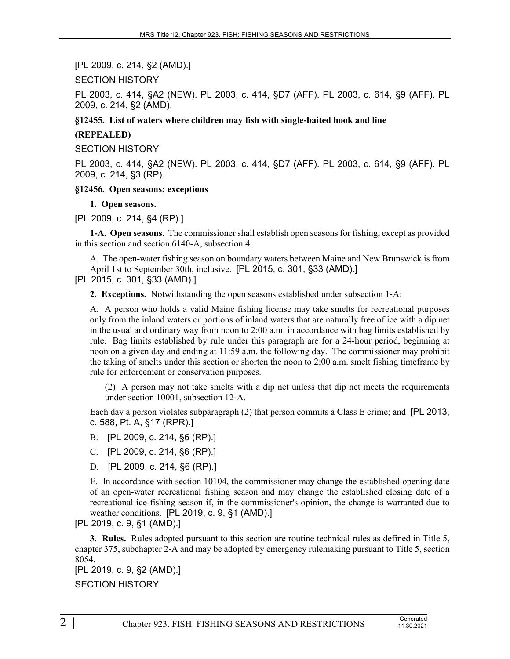[PL 2009, c. 214, §2 (AMD).]

SECTION HISTORY

PL 2003, c. 414, §A2 (NEW). PL 2003, c. 414, §D7 (AFF). PL 2003, c. 614, §9 (AFF). PL 2009, c. 214, §2 (AMD).

**§12455. List of waters where children may fish with single-baited hook and line**

### **(REPEALED)**

SECTION HISTORY

PL 2003, c. 414, §A2 (NEW). PL 2003, c. 414, §D7 (AFF). PL 2003, c. 614, §9 (AFF). PL 2009, c. 214, §3 (RP).

#### **§12456. Open seasons; exceptions**

#### **1. Open seasons.**

[PL 2009, c. 214, §4 (RP).]

**1-A. Open seasons.** The commissioner shall establish open seasons for fishing, except as provided in this section and section 6140-A, subsection 4.

A. The open-water fishing season on boundary waters between Maine and New Brunswick is from April 1st to September 30th, inclusive. [PL 2015, c. 301, §33 (AMD).]

[PL 2015, c. 301, §33 (AMD).]

**2. Exceptions.** Notwithstanding the open seasons established under subsection 1‑A:

A. A person who holds a valid Maine fishing license may take smelts for recreational purposes only from the inland waters or portions of inland waters that are naturally free of ice with a dip net in the usual and ordinary way from noon to 2:00 a.m. in accordance with bag limits established by rule. Bag limits established by rule under this paragraph are for a 24-hour period, beginning at noon on a given day and ending at 11:59 a.m. the following day. The commissioner may prohibit the taking of smelts under this section or shorten the noon to 2:00 a.m. smelt fishing timeframe by rule for enforcement or conservation purposes.

(2) A person may not take smelts with a dip net unless that dip net meets the requirements under section 10001, subsection 12‑A.

Each day a person violates subparagraph (2) that person commits a Class E crime; and [PL 2013, c. 588, Pt. A, §17 (RPR).]

- B. [PL 2009, c. 214, §6 (RP).]
- C. [PL 2009, c. 214, §6 (RP).]
- D. [PL 2009, c. 214, §6 (RP).]

E. In accordance with section 10104, the commissioner may change the established opening date of an open-water recreational fishing season and may change the established closing date of a recreational ice-fishing season if, in the commissioner's opinion, the change is warranted due to weather conditions. [PL 2019, c. 9, §1 (AMD).]

[PL 2019, c. 9, §1 (AMD).]

**3. Rules.** Rules adopted pursuant to this section are routine technical rules as defined in Title 5, chapter 375, subchapter 2‑A and may be adopted by emergency rulemaking pursuant to Title 5, section 8054.

[PL 2019, c. 9, §2 (AMD).]

SECTION HISTORY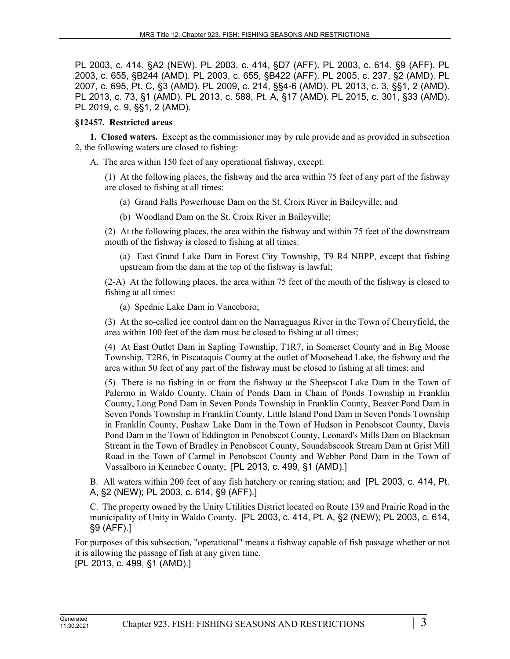PL 2003, c. 414, §A2 (NEW). PL 2003, c. 414, §D7 (AFF). PL 2003, c. 614, §9 (AFF). PL 2003, c. 655, §B244 (AMD). PL 2003, c. 655, §B422 (AFF). PL 2005, c. 237, §2 (AMD). PL 2007, c. 695, Pt. C, §3 (AMD). PL 2009, c. 214, §§4-6 (AMD). PL 2013, c. 3, §§1, 2 (AMD). PL 2013, c. 73, §1 (AMD). PL 2013, c. 588, Pt. A, §17 (AMD). PL 2015, c. 301, §33 (AMD). PL 2019, c. 9, §§1, 2 (AMD).

#### **§12457. Restricted areas**

**1. Closed waters.** Except as the commissioner may by rule provide and as provided in subsection 2, the following waters are closed to fishing:

A. The area within 150 feet of any operational fishway, except:

(1) At the following places, the fishway and the area within 75 feet of any part of the fishway are closed to fishing at all times:

- (a) Grand Falls Powerhouse Dam on the St. Croix River in Baileyville; and
- (b) Woodland Dam on the St. Croix River in Baileyville;

(2) At the following places, the area within the fishway and within 75 feet of the downstream mouth of the fishway is closed to fishing at all times:

(a) East Grand Lake Dam in Forest City Township, T9 R4 NBPP, except that fishing upstream from the dam at the top of the fishway is lawful;

(2-A) At the following places, the area within 75 feet of the mouth of the fishway is closed to fishing at all times:

(a) Spednic Lake Dam in Vanceboro;

(3) At the so-called ice control dam on the Narraguagus River in the Town of Cherryfield, the area within 100 feet of the dam must be closed to fishing at all times;

(4) At East Outlet Dam in Sapling Township, T1R7, in Somerset County and in Big Moose Township, T2R6, in Piscataquis County at the outlet of Moosehead Lake, the fishway and the area within 50 feet of any part of the fishway must be closed to fishing at all times; and

(5) There is no fishing in or from the fishway at the Sheepscot Lake Dam in the Town of Palermo in Waldo County, Chain of Ponds Dam in Chain of Ponds Township in Franklin County, Long Pond Dam in Seven Ponds Township in Franklin County, Beaver Pond Dam in Seven Ponds Township in Franklin County, Little Island Pond Dam in Seven Ponds Township in Franklin County, Pushaw Lake Dam in the Town of Hudson in Penobscot County, Davis Pond Dam in the Town of Eddington in Penobscot County, Leonard's Mills Dam on Blackman Stream in the Town of Bradley in Penobscot County, Souadabscook Stream Dam at Grist Mill Road in the Town of Carmel in Penobscot County and Webber Pond Dam in the Town of Vassalboro in Kennebec County; [PL 2013, c. 499, §1 (AMD).]

B. All waters within 200 feet of any fish hatchery or rearing station; and [PL 2003, c. 414, Pt. A, §2 (NEW); PL 2003, c. 614, §9 (AFF).]

C. The property owned by the Unity Utilities District located on Route 139 and Prairie Road in the municipality of Unity in Waldo County. [PL 2003, c. 414, Pt. A, §2 (NEW); PL 2003, c. 614, §9 (AFF).]

For purposes of this subsection, "operational" means a fishway capable of fish passage whether or not it is allowing the passage of fish at any given time.

[PL 2013, c. 499, §1 (AMD).]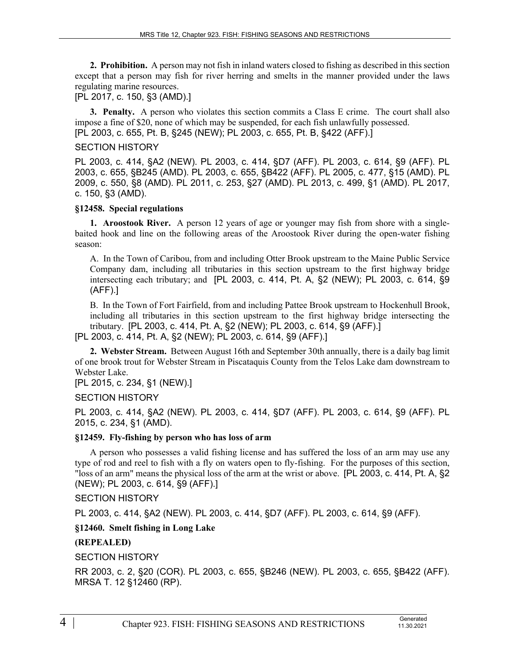**2. Prohibition.** A person may not fish in inland waters closed to fishing as described in this section except that a person may fish for river herring and smelts in the manner provided under the laws regulating marine resources.

[PL 2017, c. 150, §3 (AMD).]

**3. Penalty.** A person who violates this section commits a Class E crime. The court shall also impose a fine of \$20, none of which may be suspended, for each fish unlawfully possessed. [PL 2003, c. 655, Pt. B, §245 (NEW); PL 2003, c. 655, Pt. B, §422 (AFF).]

#### SECTION HISTORY

PL 2003, c. 414, §A2 (NEW). PL 2003, c. 414, §D7 (AFF). PL 2003, c. 614, §9 (AFF). PL 2003, c. 655, §B245 (AMD). PL 2003, c. 655, §B422 (AFF). PL 2005, c. 477, §15 (AMD). PL 2009, c. 550, §8 (AMD). PL 2011, c. 253, §27 (AMD). PL 2013, c. 499, §1 (AMD). PL 2017, c. 150, §3 (AMD).

#### **§12458. Special regulations**

**1. Aroostook River.** A person 12 years of age or younger may fish from shore with a singlebaited hook and line on the following areas of the Aroostook River during the open-water fishing season:

A. In the Town of Caribou, from and including Otter Brook upstream to the Maine Public Service Company dam, including all tributaries in this section upstream to the first highway bridge intersecting each tributary; and [PL 2003, c. 414, Pt. A, §2 (NEW); PL 2003, c. 614, §9 (AFF).]

B. In the Town of Fort Fairfield, from and including Pattee Brook upstream to Hockenhull Brook, including all tributaries in this section upstream to the first highway bridge intersecting the tributary. [PL 2003, c. 414, Pt. A, §2 (NEW); PL 2003, c. 614, §9 (AFF).] [PL 2003, c. 414, Pt. A, §2 (NEW); PL 2003, c. 614, §9 (AFF).]

**2. Webster Stream.** Between August 16th and September 30th annually, there is a daily bag limit of one brook trout for Webster Stream in Piscataquis County from the Telos Lake dam downstream to Webster Lake.

[PL 2015, c. 234, §1 (NEW).]

#### SECTION HISTORY

PL 2003, c. 414, §A2 (NEW). PL 2003, c. 414, §D7 (AFF). PL 2003, c. 614, §9 (AFF). PL 2015, c. 234, §1 (AMD).

#### **§12459. Fly-fishing by person who has loss of arm**

A person who possesses a valid fishing license and has suffered the loss of an arm may use any type of rod and reel to fish with a fly on waters open to fly-fishing. For the purposes of this section, "loss of an arm" means the physical loss of the arm at the wrist or above. [PL 2003, c. 414, Pt. A, §2 (NEW); PL 2003, c. 614, §9 (AFF).]

SECTION HISTORY

PL 2003, c. 414, §A2 (NEW). PL 2003, c. 414, §D7 (AFF). PL 2003, c. 614, §9 (AFF).

#### **§12460. Smelt fishing in Long Lake**

## **(REPEALED)**

SECTION HISTORY

RR 2003, c. 2, §20 (COR). PL 2003, c. 655, §B246 (NEW). PL 2003, c. 655, §B422 (AFF). MRSA T. 12 §12460 (RP).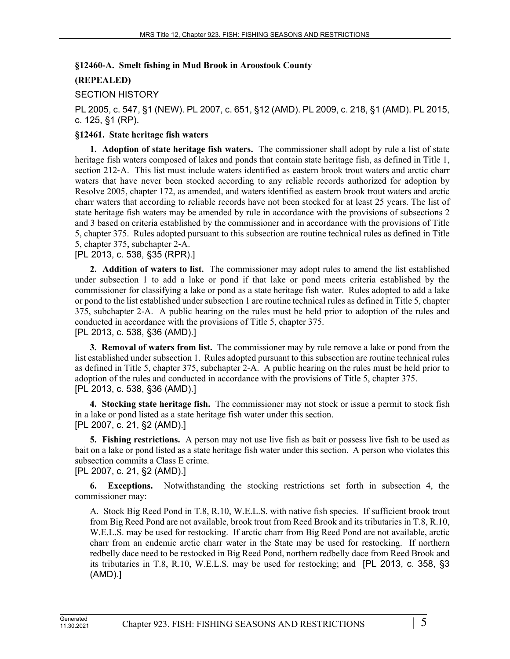### **§12460-A. Smelt fishing in Mud Brook in Aroostook County**

## **(REPEALED)**

## SECTION HISTORY

PL 2005, c. 547, §1 (NEW). PL 2007, c. 651, §12 (AMD). PL 2009, c. 218, §1 (AMD). PL 2015, c. 125, §1 (RP).

### **§12461. State heritage fish waters**

**1. Adoption of state heritage fish waters.** The commissioner shall adopt by rule a list of state heritage fish waters composed of lakes and ponds that contain state heritage fish, as defined in Title 1, section 212–A. This list must include waters identified as eastern brook trout waters and arctic charr waters that have never been stocked according to any reliable records authorized for adoption by Resolve 2005, chapter 172, as amended, and waters identified as eastern brook trout waters and arctic charr waters that according to reliable records have not been stocked for at least 25 years. The list of state heritage fish waters may be amended by rule in accordance with the provisions of subsections 2 and 3 based on criteria established by the commissioner and in accordance with the provisions of Title 5, chapter 375. Rules adopted pursuant to this subsection are routine technical rules as defined in Title 5, chapter 375, subchapter 2‑A.

## [PL 2013, c. 538, §35 (RPR).]

**2. Addition of waters to list.** The commissioner may adopt rules to amend the list established under subsection 1 to add a lake or pond if that lake or pond meets criteria established by the commissioner for classifying a lake or pond as a state heritage fish water. Rules adopted to add a lake or pond to the list established under subsection 1 are routine technical rules as defined in Title 5, chapter 375, subchapter 2-A. A public hearing on the rules must be held prior to adoption of the rules and conducted in accordance with the provisions of Title 5, chapter 375. [PL 2013, c. 538, §36 (AMD).]

**3. Removal of waters from list.** The commissioner may by rule remove a lake or pond from the list established under subsection 1. Rules adopted pursuant to this subsection are routine technical rules as defined in Title 5, chapter 375, subchapter 2-A. A public hearing on the rules must be held prior to adoption of the rules and conducted in accordance with the provisions of Title 5, chapter 375. [PL 2013, c. 538, §36 (AMD).]

**4. Stocking state heritage fish.** The commissioner may not stock or issue a permit to stock fish in a lake or pond listed as a state heritage fish water under this section. [PL 2007, c. 21, §2 (AMD).]

**5. Fishing restrictions.** A person may not use live fish as bait or possess live fish to be used as bait on a lake or pond listed as a state heritage fish water under this section. A person who violates this subsection commits a Class E crime.

[PL 2007, c. 21, §2 (AMD).]

**6. Exceptions.** Notwithstanding the stocking restrictions set forth in subsection 4, the commissioner may:

A. Stock Big Reed Pond in T.8, R.10, W.E.L.S. with native fish species. If sufficient brook trout from Big Reed Pond are not available, brook trout from Reed Brook and its tributaries in T.8, R.10, W.E.L.S. may be used for restocking. If arctic charr from Big Reed Pond are not available, arctic charr from an endemic arctic charr water in the State may be used for restocking. If northern redbelly dace need to be restocked in Big Reed Pond, northern redbelly dace from Reed Brook and its tributaries in T.8, R.10, W.E.L.S. may be used for restocking; and [PL 2013, c. 358, §3 (AMD).]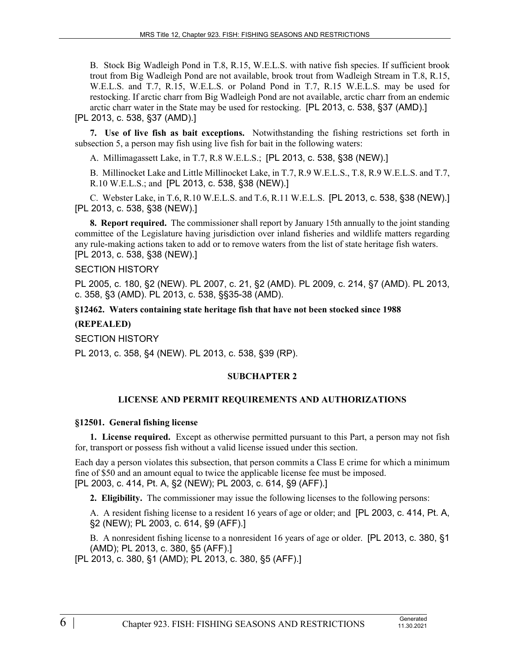B. Stock Big Wadleigh Pond in T.8, R.15, W.E.L.S. with native fish species. If sufficient brook trout from Big Wadleigh Pond are not available, brook trout from Wadleigh Stream in T.8, R.15, W.E.L.S. and T.7, R.15, W.E.L.S. or Poland Pond in T.7, R.15 W.E.L.S. may be used for restocking. If arctic charr from Big Wadleigh Pond are not available, arctic charr from an endemic arctic charr water in the State may be used for restocking. [PL 2013, c. 538, §37 (AMD).] [PL 2013, c. 538, §37 (AMD).]

**7. Use of live fish as bait exceptions.** Notwithstanding the fishing restrictions set forth in subsection 5, a person may fish using live fish for bait in the following waters:

A. Millimagassett Lake, in T.7, R.8 W.E.L.S.; [PL 2013, c. 538, §38 (NEW).]

B. Millinocket Lake and Little Millinocket Lake, in T.7, R.9 W.E.L.S., T.8, R.9 W.E.L.S. and T.7, R.10 W.E.L.S.; and [PL 2013, c. 538, §38 (NEW).]

C. Webster Lake, in T.6, R.10 W.E.L.S. and T.6, R.11 W.E.L.S. [PL 2013, c. 538, §38 (NEW).] [PL 2013, c. 538, §38 (NEW).]

**8. Report required.** The commissioner shall report by January 15th annually to the joint standing committee of the Legislature having jurisdiction over inland fisheries and wildlife matters regarding any rule-making actions taken to add or to remove waters from the list of state heritage fish waters. [PL 2013, c. 538, §38 (NEW).]

#### SECTION HISTORY

PL 2005, c. 180, §2 (NEW). PL 2007, c. 21, §2 (AMD). PL 2009, c. 214, §7 (AMD). PL 2013, c. 358, §3 (AMD). PL 2013, c. 538, §§35-38 (AMD).

#### **§12462. Waters containing state heritage fish that have not been stocked since 1988**

#### **(REPEALED)**

SECTION HISTORY

PL 2013, c. 358, §4 (NEW). PL 2013, c. 538, §39 (RP).

#### **SUBCHAPTER 2**

## **LICENSE AND PERMIT REQUIREMENTS AND AUTHORIZATIONS**

#### **§12501. General fishing license**

**1. License required.** Except as otherwise permitted pursuant to this Part, a person may not fish for, transport or possess fish without a valid license issued under this section.

Each day a person violates this subsection, that person commits a Class E crime for which a minimum fine of \$50 and an amount equal to twice the applicable license fee must be imposed. [PL 2003, c. 414, Pt. A, §2 (NEW); PL 2003, c. 614, §9 (AFF).]

**2. Eligibility.** The commissioner may issue the following licenses to the following persons:

A. A resident fishing license to a resident 16 years of age or older; and [PL 2003, c. 414, Pt. A, §2 (NEW); PL 2003, c. 614, §9 (AFF).]

B. A nonresident fishing license to a nonresident 16 years of age or older. [PL 2013, c. 380, §1 (AMD); PL 2013, c. 380, §5 (AFF).]

[PL 2013, c. 380, §1 (AMD); PL 2013, c. 380, §5 (AFF).]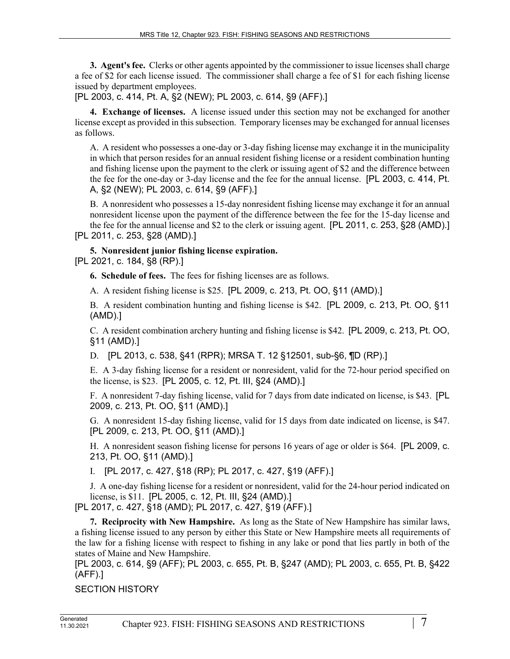**3. Agent's fee.** Clerks or other agents appointed by the commissioner to issue licenses shall charge a fee of \$2 for each license issued. The commissioner shall charge a fee of \$1 for each fishing license issued by department employees.

[PL 2003, c. 414, Pt. A, §2 (NEW); PL 2003, c. 614, §9 (AFF).]

**4. Exchange of licenses.** A license issued under this section may not be exchanged for another license except as provided in this subsection. Temporary licenses may be exchanged for annual licenses as follows.

A. A resident who possesses a one-day or 3-day fishing license may exchange it in the municipality in which that person resides for an annual resident fishing license or a resident combination hunting and fishing license upon the payment to the clerk or issuing agent of \$2 and the difference between the fee for the one-day or 3-day license and the fee for the annual license. [PL 2003, c. 414, Pt. A, §2 (NEW); PL 2003, c. 614, §9 (AFF).]

B. A nonresident who possesses a 15-day nonresident fishing license may exchange it for an annual nonresident license upon the payment of the difference between the fee for the 15-day license and the fee for the annual license and \$2 to the clerk or issuing agent. [PL 2011, c. 253, §28 (AMD).]

[PL 2011, c. 253, §28 (AMD).]

# **5. Nonresident junior fishing license expiration.**

[PL 2021, c. 184, §8 (RP).]

**6. Schedule of fees.** The fees for fishing licenses are as follows.

A. A resident fishing license is \$25. [PL 2009, c. 213, Pt. OO, §11 (AMD).]

B. A resident combination hunting and fishing license is \$42. [PL 2009, c. 213, Pt. OO, §11 (AMD).]

C. A resident combination archery hunting and fishing license is \$42. [PL 2009, c. 213, Pt. OO, §11 (AMD).]

D. [PL 2013, c. 538, §41 (RPR); MRSA T. 12 §12501, sub-§6, ¶D (RP).]

E. A 3-day fishing license for a resident or nonresident, valid for the 72-hour period specified on the license, is \$23. [PL 2005, c. 12, Pt. III, §24 (AMD).]

F. A nonresident 7-day fishing license, valid for 7 days from date indicated on license, is \$43. [PL 2009, c. 213, Pt. OO, §11 (AMD).]

G. A nonresident 15-day fishing license, valid for 15 days from date indicated on license, is \$47. [PL 2009, c. 213, Pt. OO, §11 (AMD).]

H. A nonresident season fishing license for persons 16 years of age or older is \$64. [PL 2009, c. 213, Pt. OO, §11 (AMD).]

I. [PL 2017, c. 427, §18 (RP); PL 2017, c. 427, §19 (AFF).]

J. A one-day fishing license for a resident or nonresident, valid for the 24-hour period indicated on license, is \$11. [PL 2005, c. 12, Pt. III, §24 (AMD).]

[PL 2017, c. 427, §18 (AMD); PL 2017, c. 427, §19 (AFF).]

**7. Reciprocity with New Hampshire.** As long as the State of New Hampshire has similar laws, a fishing license issued to any person by either this State or New Hampshire meets all requirements of the law for a fishing license with respect to fishing in any lake or pond that lies partly in both of the states of Maine and New Hampshire.

[PL 2003, c. 614, §9 (AFF); PL 2003, c. 655, Pt. B, §247 (AMD); PL 2003, c. 655, Pt. B, §422 (AFF).]

SECTION HISTORY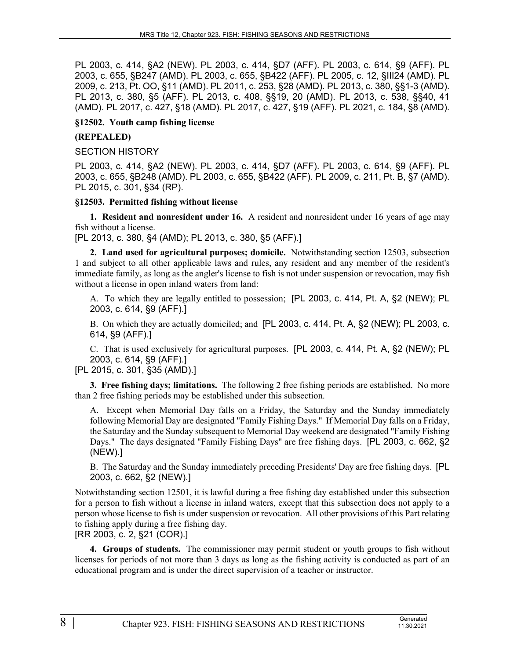PL 2003, c. 414, §A2 (NEW). PL 2003, c. 414, §D7 (AFF). PL 2003, c. 614, §9 (AFF). PL 2003, c. 655, §B247 (AMD). PL 2003, c. 655, §B422 (AFF). PL 2005, c. 12, §III24 (AMD). PL 2009, c. 213, Pt. OO, §11 (AMD). PL 2011, c. 253, §28 (AMD). PL 2013, c. 380, §§1-3 (AMD). PL 2013, c. 380, §5 (AFF). PL 2013, c. 408, §§19, 20 (AMD). PL 2013, c. 538, §§40, 41 (AMD). PL 2017, c. 427, §18 (AMD). PL 2017, c. 427, §19 (AFF). PL 2021, c. 184, §8 (AMD).

#### **§12502. Youth camp fishing license**

### **(REPEALED)**

#### SECTION HISTORY

PL 2003, c. 414, §A2 (NEW). PL 2003, c. 414, §D7 (AFF). PL 2003, c. 614, §9 (AFF). PL 2003, c. 655, §B248 (AMD). PL 2003, c. 655, §B422 (AFF). PL 2009, c. 211, Pt. B, §7 (AMD). PL 2015, c. 301, §34 (RP).

#### **§12503. Permitted fishing without license**

**1. Resident and nonresident under 16.** A resident and nonresident under 16 years of age may fish without a license.

[PL 2013, c. 380, §4 (AMD); PL 2013, c. 380, §5 (AFF).]

**2. Land used for agricultural purposes; domicile.** Notwithstanding section 12503, subsection 1 and subject to all other applicable laws and rules, any resident and any member of the resident's immediate family, as long as the angler's license to fish is not under suspension or revocation, may fish without a license in open inland waters from land:

A. To which they are legally entitled to possession; [PL 2003, c. 414, Pt. A, §2 (NEW); PL 2003, c. 614, §9 (AFF).]

B. On which they are actually domiciled; and [PL 2003, c. 414, Pt. A, §2 (NEW); PL 2003, c. 614, §9 (AFF).]

C. That is used exclusively for agricultural purposes. [PL 2003, c. 414, Pt. A, §2 (NEW); PL 2003, c. 614, §9 (AFF).]

## [PL 2015, c. 301, §35 (AMD).]

**3. Free fishing days; limitations.** The following 2 free fishing periods are established. No more than 2 free fishing periods may be established under this subsection.

A. Except when Memorial Day falls on a Friday, the Saturday and the Sunday immediately following Memorial Day are designated "Family Fishing Days." If Memorial Day falls on a Friday, the Saturday and the Sunday subsequent to Memorial Day weekend are designated "Family Fishing Days." The days designated "Family Fishing Days" are free fishing days. [PL 2003, c. 662, §2 (NEW).]

B. The Saturday and the Sunday immediately preceding Presidents' Day are free fishing days. [PL 2003, c. 662, §2 (NEW).]

Notwithstanding section 12501, it is lawful during a free fishing day established under this subsection for a person to fish without a license in inland waters, except that this subsection does not apply to a person whose license to fish is under suspension or revocation. All other provisions of this Part relating to fishing apply during a free fishing day.

[RR 2003, c. 2, §21 (COR).]

**4. Groups of students.** The commissioner may permit student or youth groups to fish without licenses for periods of not more than 3 days as long as the fishing activity is conducted as part of an educational program and is under the direct supervision of a teacher or instructor.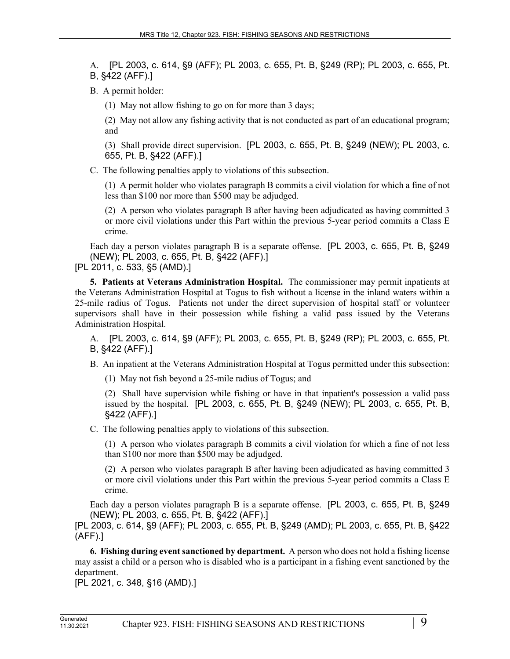A. [PL 2003, c. 614, §9 (AFF); PL 2003, c. 655, Pt. B, §249 (RP); PL 2003, c. 655, Pt. B, §422 (AFF).]

B. A permit holder:

(1) May not allow fishing to go on for more than 3 days;

(2) May not allow any fishing activity that is not conducted as part of an educational program; and

(3) Shall provide direct supervision. [PL 2003, c. 655, Pt. B, §249 (NEW); PL 2003, c. 655, Pt. B, §422 (AFF).]

C. The following penalties apply to violations of this subsection.

(1) A permit holder who violates paragraph B commits a civil violation for which a fine of not less than \$100 nor more than \$500 may be adjudged.

(2) A person who violates paragraph B after having been adjudicated as having committed 3 or more civil violations under this Part within the previous 5-year period commits a Class E crime.

Each day a person violates paragraph B is a separate offense. [PL 2003, c. 655, Pt. B, §249 (NEW); PL 2003, c. 655, Pt. B, §422 (AFF).]

[PL 2011, c. 533, §5 (AMD).]

**5. Patients at Veterans Administration Hospital.** The commissioner may permit inpatients at the Veterans Administration Hospital at Togus to fish without a license in the inland waters within a 25-mile radius of Togus. Patients not under the direct supervision of hospital staff or volunteer supervisors shall have in their possession while fishing a valid pass issued by the Veterans Administration Hospital.

A. [PL 2003, c. 614, §9 (AFF); PL 2003, c. 655, Pt. B, §249 (RP); PL 2003, c. 655, Pt. B, §422 (AFF).]

B. An inpatient at the Veterans Administration Hospital at Togus permitted under this subsection:

(1) May not fish beyond a 25-mile radius of Togus; and

(2) Shall have supervision while fishing or have in that inpatient's possession a valid pass issued by the hospital. [PL 2003, c. 655, Pt. B, §249 (NEW); PL 2003, c. 655, Pt. B, §422 (AFF).]

C. The following penalties apply to violations of this subsection.

(1) A person who violates paragraph B commits a civil violation for which a fine of not less than \$100 nor more than \$500 may be adjudged.

(2) A person who violates paragraph B after having been adjudicated as having committed 3 or more civil violations under this Part within the previous 5-year period commits a Class E crime.

Each day a person violates paragraph B is a separate offense. [PL 2003, c. 655, Pt. B, §249 (NEW); PL 2003, c. 655, Pt. B, §422 (AFF).]

[PL 2003, c. 614, §9 (AFF); PL 2003, c. 655, Pt. B, §249 (AMD); PL 2003, c. 655, Pt. B, §422 (AFF).]

**6. Fishing during event sanctioned by department.** A person who does not hold a fishing license may assist a child or a person who is disabled who is a participant in a fishing event sanctioned by the department.

[PL 2021, c. 348, §16 (AMD).]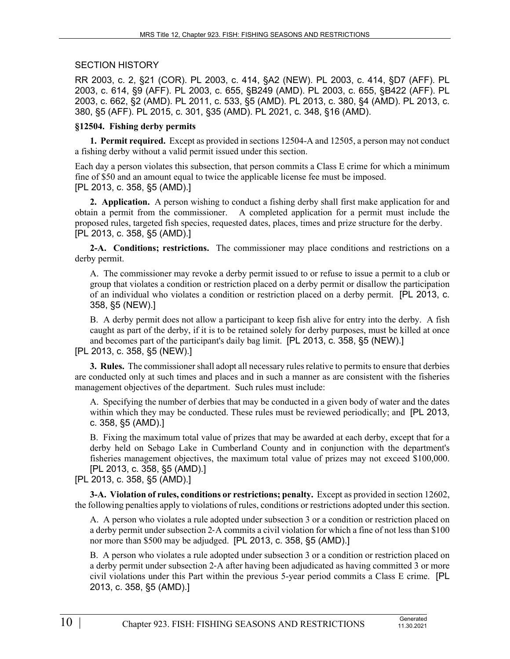### SECTION HISTORY

RR 2003, c. 2, §21 (COR). PL 2003, c. 414, §A2 (NEW). PL 2003, c. 414, §D7 (AFF). PL 2003, c. 614, §9 (AFF). PL 2003, c. 655, §B249 (AMD). PL 2003, c. 655, §B422 (AFF). PL 2003, c. 662, §2 (AMD). PL 2011, c. 533, §5 (AMD). PL 2013, c. 380, §4 (AMD). PL 2013, c. 380, §5 (AFF). PL 2015, c. 301, §35 (AMD). PL 2021, c. 348, §16 (AMD).

### **§12504. Fishing derby permits**

**1. Permit required.** Except as provided in sections 12504-A and 12505, a person may not conduct a fishing derby without a valid permit issued under this section.

Each day a person violates this subsection, that person commits a Class E crime for which a minimum fine of \$50 and an amount equal to twice the applicable license fee must be imposed. [PL 2013, c. 358, §5 (AMD).]

**2. Application.** A person wishing to conduct a fishing derby shall first make application for and obtain a permit from the commissioner. A completed application for a permit must include the proposed rules, targeted fish species, requested dates, places, times and prize structure for the derby. [PL 2013, c. 358, §5 (AMD).]

**2-A. Conditions; restrictions.** The commissioner may place conditions and restrictions on a derby permit.

A. The commissioner may revoke a derby permit issued to or refuse to issue a permit to a club or group that violates a condition or restriction placed on a derby permit or disallow the participation of an individual who violates a condition or restriction placed on a derby permit. [PL 2013, c. 358, §5 (NEW).]

B. A derby permit does not allow a participant to keep fish alive for entry into the derby. A fish caught as part of the derby, if it is to be retained solely for derby purposes, must be killed at once and becomes part of the participant's daily bag limit. [PL 2013, c. 358, §5 (NEW).] [PL 2013, c. 358, §5 (NEW).]

**3. Rules.** The commissioner shall adopt all necessary rules relative to permits to ensure that derbies

are conducted only at such times and places and in such a manner as are consistent with the fisheries management objectives of the department. Such rules must include:

A. Specifying the number of derbies that may be conducted in a given body of water and the dates within which they may be conducted. These rules must be reviewed periodically; and [PL 2013, c. 358, §5 (AMD).]

B. Fixing the maximum total value of prizes that may be awarded at each derby, except that for a derby held on Sebago Lake in Cumberland County and in conjunction with the department's fisheries management objectives, the maximum total value of prizes may not exceed \$100,000. [PL 2013, c. 358, §5 (AMD).]

[PL 2013, c. 358, §5 (AMD).]

**3-A. Violation of rules, conditions or restrictions; penalty.** Except as provided in section 12602, the following penalties apply to violations of rules, conditions or restrictions adopted under this section.

A. A person who violates a rule adopted under subsection 3 or a condition or restriction placed on a derby permit under subsection 2‑A commits a civil violation for which a fine of not less than \$100 nor more than \$500 may be adjudged. [PL 2013, c. 358, §5 (AMD).]

B. A person who violates a rule adopted under subsection 3 or a condition or restriction placed on a derby permit under subsection 2‑A after having been adjudicated as having committed 3 or more civil violations under this Part within the previous 5-year period commits a Class E crime. [PL 2013, c. 358, §5 (AMD).]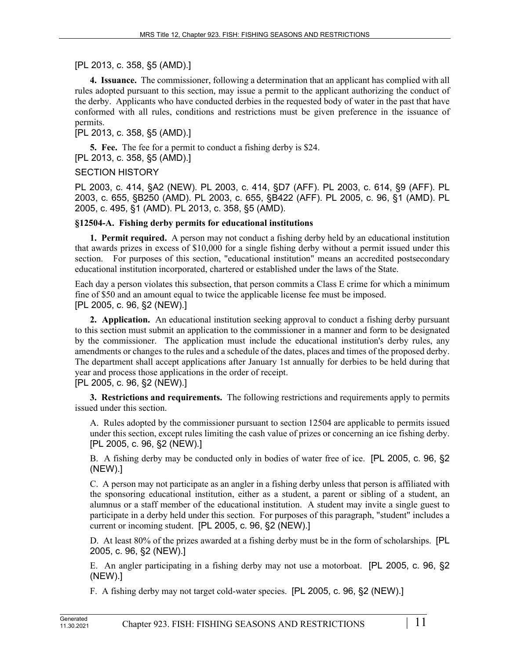[PL 2013, c. 358, §5 (AMD).]

**4. Issuance.** The commissioner, following a determination that an applicant has complied with all rules adopted pursuant to this section, may issue a permit to the applicant authorizing the conduct of the derby. Applicants who have conducted derbies in the requested body of water in the past that have conformed with all rules, conditions and restrictions must be given preference in the issuance of permits.

[PL 2013, c. 358, §5 (AMD).]

**5. Fee.** The fee for a permit to conduct a fishing derby is \$24. [PL 2013, c. 358, §5 (AMD).]

# SECTION HISTORY

PL 2003, c. 414, §A2 (NEW). PL 2003, c. 414, §D7 (AFF). PL 2003, c. 614, §9 (AFF). PL 2003, c. 655, §B250 (AMD). PL 2003, c. 655, §B422 (AFF). PL 2005, c. 96, §1 (AMD). PL 2005, c. 495, §1 (AMD). PL 2013, c. 358, §5 (AMD).

# **§12504-A. Fishing derby permits for educational institutions**

**1. Permit required.** A person may not conduct a fishing derby held by an educational institution that awards prizes in excess of \$10,000 for a single fishing derby without a permit issued under this section. For purposes of this section, "educational institution" means an accredited postsecondary educational institution incorporated, chartered or established under the laws of the State.

Each day a person violates this subsection, that person commits a Class E crime for which a minimum fine of \$50 and an amount equal to twice the applicable license fee must be imposed. [PL 2005, c. 96, §2 (NEW).]

**2. Application.** An educational institution seeking approval to conduct a fishing derby pursuant to this section must submit an application to the commissioner in a manner and form to be designated by the commissioner. The application must include the educational institution's derby rules, any amendments or changes to the rules and a schedule of the dates, places and times of the proposed derby. The department shall accept applications after January 1st annually for derbies to be held during that year and process those applications in the order of receipt. [PL 2005, c. 96, §2 (NEW).]

**3. Restrictions and requirements.** The following restrictions and requirements apply to permits issued under this section.

A. Rules adopted by the commissioner pursuant to section 12504 are applicable to permits issued under this section, except rules limiting the cash value of prizes or concerning an ice fishing derby. [PL 2005, c. 96, §2 (NEW).]

B. A fishing derby may be conducted only in bodies of water free of ice. [PL 2005, c. 96, §2 (NEW).]

C. A person may not participate as an angler in a fishing derby unless that person is affiliated with the sponsoring educational institution, either as a student, a parent or sibling of a student, an alumnus or a staff member of the educational institution. A student may invite a single guest to participate in a derby held under this section. For purposes of this paragraph, "student" includes a current or incoming student. [PL 2005, c. 96, §2 (NEW).]

D. At least 80% of the prizes awarded at a fishing derby must be in the form of scholarships. [PL 2005, c. 96, §2 (NEW).]

E. An angler participating in a fishing derby may not use a motorboat. [PL 2005, c. 96, §2 (NEW).]

F. A fishing derby may not target cold-water species. [PL 2005, c. 96, §2 (NEW).]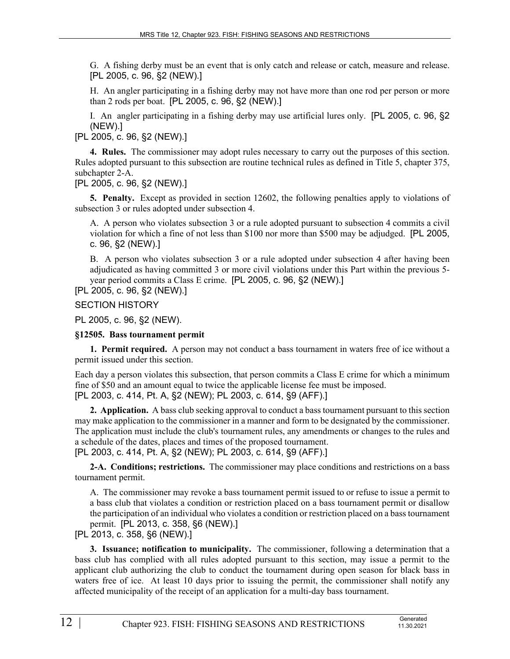G. A fishing derby must be an event that is only catch and release or catch, measure and release. [PL 2005, c. 96, §2 (NEW).]

H. An angler participating in a fishing derby may not have more than one rod per person or more than 2 rods per boat. [PL 2005, c. 96, §2 (NEW).]

I. An angler participating in a fishing derby may use artificial lures only. [PL 2005, c. 96, §2 (NEW).]

[PL 2005, c. 96, §2 (NEW).]

**4. Rules.** The commissioner may adopt rules necessary to carry out the purposes of this section. Rules adopted pursuant to this subsection are routine technical rules as defined in Title 5, chapter 375, subchapter 2-A.

[PL 2005, c. 96, §2 (NEW).]

**5. Penalty.** Except as provided in section 12602, the following penalties apply to violations of subsection 3 or rules adopted under subsection 4.

A. A person who violates subsection 3 or a rule adopted pursuant to subsection 4 commits a civil violation for which a fine of not less than \$100 nor more than \$500 may be adjudged. [PL 2005, c. 96, §2 (NEW).]

B. A person who violates subsection 3 or a rule adopted under subsection 4 after having been adjudicated as having committed 3 or more civil violations under this Part within the previous 5 year period commits a Class E crime. [PL 2005, c. 96, §2 (NEW).]

[PL 2005, c. 96, §2 (NEW).]

SECTION HISTORY

PL 2005, c. 96, §2 (NEW).

#### **§12505. Bass tournament permit**

**1. Permit required.** A person may not conduct a bass tournament in waters free of ice without a permit issued under this section.

Each day a person violates this subsection, that person commits a Class E crime for which a minimum fine of \$50 and an amount equal to twice the applicable license fee must be imposed. [PL 2003, c. 414, Pt. A, §2 (NEW); PL 2003, c. 614, §9 (AFF).]

**2. Application.** A bass club seeking approval to conduct a bass tournament pursuant to this section may make application to the commissioner in a manner and form to be designated by the commissioner. The application must include the club's tournament rules, any amendments or changes to the rules and a schedule of the dates, places and times of the proposed tournament. [PL 2003, c. 414, Pt. A, §2 (NEW); PL 2003, c. 614, §9 (AFF).]

**2-A. Conditions; restrictions.** The commissioner may place conditions and restrictions on a bass tournament permit.

A. The commissioner may revoke a bass tournament permit issued to or refuse to issue a permit to a bass club that violates a condition or restriction placed on a bass tournament permit or disallow the participation of an individual who violates a condition or restriction placed on a bass tournament permit. [PL 2013, c. 358, §6 (NEW).]

[PL 2013, c. 358, §6 (NEW).]

**3. Issuance; notification to municipality.** The commissioner, following a determination that a bass club has complied with all rules adopted pursuant to this section, may issue a permit to the applicant club authorizing the club to conduct the tournament during open season for black bass in waters free of ice. At least 10 days prior to issuing the permit, the commissioner shall notify any affected municipality of the receipt of an application for a multi-day bass tournament.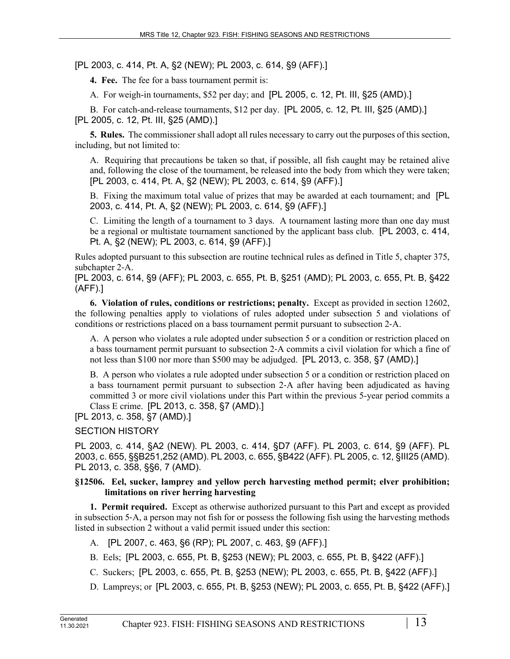[PL 2003, c. 414, Pt. A, §2 (NEW); PL 2003, c. 614, §9 (AFF).]

**4. Fee.** The fee for a bass tournament permit is:

A. For weigh-in tournaments, \$52 per day; and [PL 2005, c. 12, Pt. III, §25 (AMD).]

B. For catch-and-release tournaments, \$12 per day. [PL 2005, c. 12, Pt. III, §25 (AMD).] [PL 2005, c. 12, Pt. III, §25 (AMD).]

**5. Rules.** The commissioner shall adopt all rules necessary to carry out the purposes of this section, including, but not limited to:

A. Requiring that precautions be taken so that, if possible, all fish caught may be retained alive and, following the close of the tournament, be released into the body from which they were taken; [PL 2003, c. 414, Pt. A, §2 (NEW); PL 2003, c. 614, §9 (AFF).]

B. Fixing the maximum total value of prizes that may be awarded at each tournament; and [PL 2003, c. 414, Pt. A, §2 (NEW); PL 2003, c. 614, §9 (AFF).]

C. Limiting the length of a tournament to 3 days. A tournament lasting more than one day must be a regional or multistate tournament sanctioned by the applicant bass club. [PL 2003, c. 414, Pt. A, §2 (NEW); PL 2003, c. 614, §9 (AFF).]

Rules adopted pursuant to this subsection are routine technical rules as defined in Title 5, chapter 375, subchapter 2‑A.

[PL 2003, c. 614, §9 (AFF); PL 2003, c. 655, Pt. B, §251 (AMD); PL 2003, c. 655, Pt. B, §422 (AFF).]

**6. Violation of rules, conditions or restrictions; penalty.** Except as provided in section 12602, the following penalties apply to violations of rules adopted under subsection 5 and violations of conditions or restrictions placed on a bass tournament permit pursuant to subsection 2‑A.

A. A person who violates a rule adopted under subsection 5 or a condition or restriction placed on a bass tournament permit pursuant to subsection 2‑A commits a civil violation for which a fine of not less than \$100 nor more than \$500 may be adjudged. [PL 2013, c. 358, §7 (AMD).]

B. A person who violates a rule adopted under subsection 5 or a condition or restriction placed on a bass tournament permit pursuant to subsection 2‑A after having been adjudicated as having committed 3 or more civil violations under this Part within the previous 5-year period commits a Class E crime. [PL 2013, c. 358, §7 (AMD).]

[PL 2013, c. 358, §7 (AMD).]

## SECTION HISTORY

PL 2003, c. 414, §A2 (NEW). PL 2003, c. 414, §D7 (AFF). PL 2003, c. 614, §9 (AFF). PL 2003, c. 655, §§B251,252 (AMD). PL 2003, c. 655, §B422 (AFF). PL 2005, c. 12, §III25 (AMD). PL 2013, c. 358, §§6, 7 (AMD).

#### **§12506. Eel, sucker, lamprey and yellow perch harvesting method permit; elver prohibition; limitations on river herring harvesting**

**1. Permit required.** Except as otherwise authorized pursuant to this Part and except as provided in subsection 5‑A, a person may not fish for or possess the following fish using the harvesting methods listed in subsection 2 without a valid permit issued under this section:

A. [PL 2007, c. 463, §6 (RP); PL 2007, c. 463, §9 (AFF).]

- B. Eels; [PL 2003, c. 655, Pt. B, §253 (NEW); PL 2003, c. 655, Pt. B, §422 (AFF).]
- C. Suckers; [PL 2003, c. 655, Pt. B, §253 (NEW); PL 2003, c. 655, Pt. B, §422 (AFF).]
- D. Lampreys; or [PL 2003, c. 655, Pt. B, §253 (NEW); PL 2003, c. 655, Pt. B, §422 (AFF).]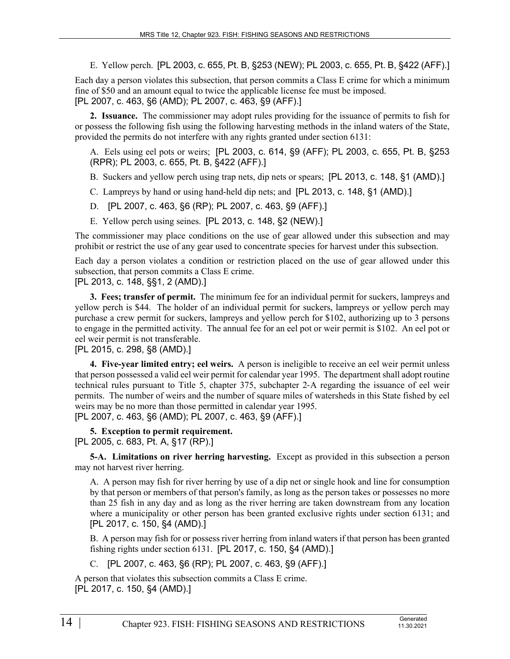E. Yellow perch. [PL 2003, c. 655, Pt. B, §253 (NEW); PL 2003, c. 655, Pt. B, §422 (AFF).]

Each day a person violates this subsection, that person commits a Class E crime for which a minimum fine of \$50 and an amount equal to twice the applicable license fee must be imposed. [PL 2007, c. 463, §6 (AMD); PL 2007, c. 463, §9 (AFF).]

**2. Issuance.** The commissioner may adopt rules providing for the issuance of permits to fish for or possess the following fish using the following harvesting methods in the inland waters of the State, provided the permits do not interfere with any rights granted under section 6131:

A. Eels using eel pots or weirs; [PL 2003, c. 614, §9 (AFF); PL 2003, c. 655, Pt. B, §253 (RPR); PL 2003, c. 655, Pt. B, §422 (AFF).]

B. Suckers and yellow perch using trap nets, dip nets or spears; [PL 2013, c. 148, §1 (AMD).]

- C. Lampreys by hand or using hand-held dip nets; and [PL 2013, c. 148, §1 (AMD).]
- D. [PL 2007, c. 463, §6 (RP); PL 2007, c. 463, §9 (AFF).]
- E. Yellow perch using seines. [PL 2013, c. 148, §2 (NEW).]

The commissioner may place conditions on the use of gear allowed under this subsection and may prohibit or restrict the use of any gear used to concentrate species for harvest under this subsection.

Each day a person violates a condition or restriction placed on the use of gear allowed under this subsection, that person commits a Class E crime.

[PL 2013, c. 148, §§1, 2 (AMD).]

**3. Fees; transfer of permit.** The minimum fee for an individual permit for suckers, lampreys and yellow perch is \$44. The holder of an individual permit for suckers, lampreys or yellow perch may purchase a crew permit for suckers, lampreys and yellow perch for \$102, authorizing up to 3 persons to engage in the permitted activity. The annual fee for an eel pot or weir permit is \$102. An eel pot or eel weir permit is not transferable.

[PL 2015, c. 298, §8 (AMD).]

**4. Five-year limited entry; eel weirs.** A person is ineligible to receive an eel weir permit unless that person possessed a valid eel weir permit for calendar year 1995. The department shall adopt routine technical rules pursuant to Title 5, chapter 375, subchapter 2‑A regarding the issuance of eel weir permits. The number of weirs and the number of square miles of watersheds in this State fished by eel weirs may be no more than those permitted in calendar year 1995.

[PL 2007, c. 463, §6 (AMD); PL 2007, c. 463, §9 (AFF).]

**5. Exception to permit requirement.**  [PL 2005, c. 683, Pt. A, §17 (RP).]

**5-A. Limitations on river herring harvesting.** Except as provided in this subsection a person may not harvest river herring.

A. A person may fish for river herring by use of a dip net or single hook and line for consumption by that person or members of that person's family, as long as the person takes or possesses no more than 25 fish in any day and as long as the river herring are taken downstream from any location where a municipality or other person has been granted exclusive rights under section 6131; and [PL 2017, c. 150, §4 (AMD).]

B. A person may fish for or possess river herring from inland waters if that person has been granted fishing rights under section 6131. [PL 2017, c. 150, §4 (AMD).]

C. [PL 2007, c. 463, §6 (RP); PL 2007, c. 463, §9 (AFF).]

A person that violates this subsection commits a Class E crime. [PL 2017, c. 150, §4 (AMD).]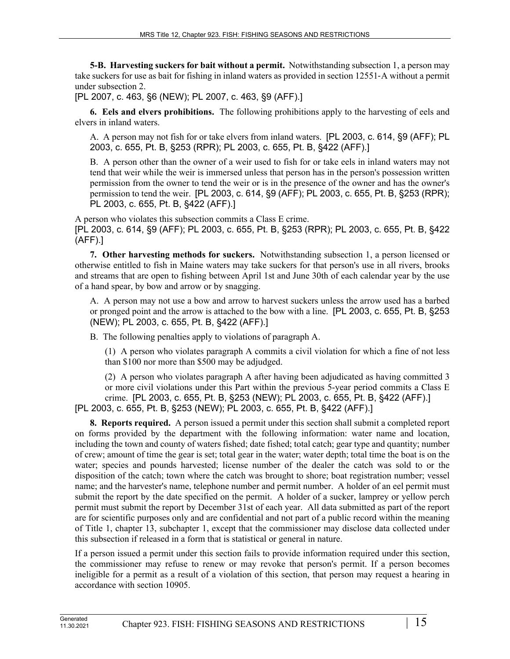**5-B. Harvesting suckers for bait without a permit.** Notwithstanding subsection 1, a person may take suckers for use as bait for fishing in inland waters as provided in section 12551‑A without a permit under subsection 2.

[PL 2007, c. 463, §6 (NEW); PL 2007, c. 463, §9 (AFF).]

**6. Eels and elvers prohibitions.** The following prohibitions apply to the harvesting of eels and elvers in inland waters.

A. A person may not fish for or take elvers from inland waters. [PL 2003, c. 614, §9 (AFF); PL 2003, c. 655, Pt. B, §253 (RPR); PL 2003, c. 655, Pt. B, §422 (AFF).]

B. A person other than the owner of a weir used to fish for or take eels in inland waters may not tend that weir while the weir is immersed unless that person has in the person's possession written permission from the owner to tend the weir or is in the presence of the owner and has the owner's permission to tend the weir. [PL 2003, c. 614, §9 (AFF); PL 2003, c. 655, Pt. B, §253 (RPR); PL 2003, c. 655, Pt. B, §422 (AFF).]

A person who violates this subsection commits a Class E crime. [PL 2003, c. 614, §9 (AFF); PL 2003, c. 655, Pt. B, §253 (RPR); PL 2003, c. 655, Pt. B, §422 (AFF).]

**7. Other harvesting methods for suckers.** Notwithstanding subsection 1, a person licensed or otherwise entitled to fish in Maine waters may take suckers for that person's use in all rivers, brooks and streams that are open to fishing between April 1st and June 30th of each calendar year by the use of a hand spear, by bow and arrow or by snagging.

A. A person may not use a bow and arrow to harvest suckers unless the arrow used has a barbed or pronged point and the arrow is attached to the bow with a line. [PL 2003, c. 655, Pt. B, §253 (NEW); PL 2003, c. 655, Pt. B, §422 (AFF).]

B. The following penalties apply to violations of paragraph A.

(1) A person who violates paragraph A commits a civil violation for which a fine of not less than \$100 nor more than \$500 may be adjudged.

(2) A person who violates paragraph A after having been adjudicated as having committed 3 or more civil violations under this Part within the previous 5-year period commits a Class E crime. [PL 2003, c. 655, Pt. B, §253 (NEW); PL 2003, c. 655, Pt. B, §422 (AFF).]

[PL 2003, c. 655, Pt. B, §253 (NEW); PL 2003, c. 655, Pt. B, §422 (AFF).]

**8. Reports required.** A person issued a permit under this section shall submit a completed report on forms provided by the department with the following information: water name and location, including the town and county of waters fished; date fished; total catch; gear type and quantity; number of crew; amount of time the gear is set; total gear in the water; water depth; total time the boat is on the water; species and pounds harvested; license number of the dealer the catch was sold to or the disposition of the catch; town where the catch was brought to shore; boat registration number; vessel name; and the harvester's name, telephone number and permit number. A holder of an eel permit must submit the report by the date specified on the permit. A holder of a sucker, lamprey or yellow perch permit must submit the report by December 31st of each year. All data submitted as part of the report are for scientific purposes only and are confidential and not part of a public record within the meaning of Title 1, chapter 13, subchapter 1, except that the commissioner may disclose data collected under this subsection if released in a form that is statistical or general in nature.

If a person issued a permit under this section fails to provide information required under this section, the commissioner may refuse to renew or may revoke that person's permit. If a person becomes ineligible for a permit as a result of a violation of this section, that person may request a hearing in accordance with section 10905.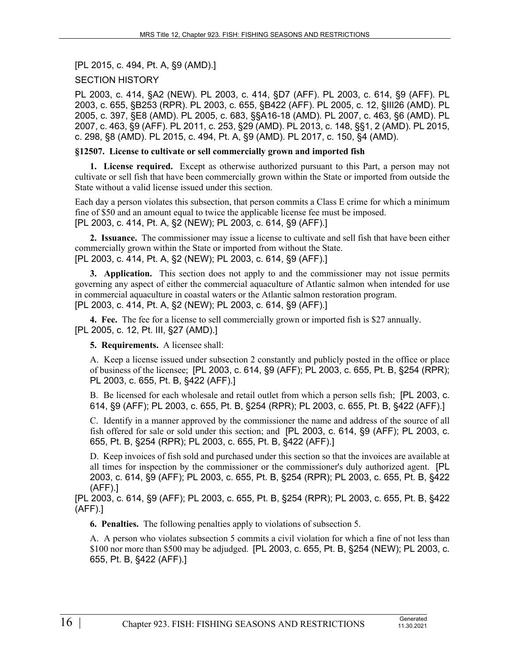[PL 2015, c. 494, Pt. A, §9 (AMD).]

## SECTION HISTORY

PL 2003, c. 414, §A2 (NEW). PL 2003, c. 414, §D7 (AFF). PL 2003, c. 614, §9 (AFF). PL 2003, c. 655, §B253 (RPR). PL 2003, c. 655, §B422 (AFF). PL 2005, c. 12, §III26 (AMD). PL 2005, c. 397, §E8 (AMD). PL 2005, c. 683, §§A16-18 (AMD). PL 2007, c. 463, §6 (AMD). PL 2007, c. 463, §9 (AFF). PL 2011, c. 253, §29 (AMD). PL 2013, c. 148, §§1, 2 (AMD). PL 2015, c. 298, §8 (AMD). PL 2015, c. 494, Pt. A, §9 (AMD). PL 2017, c. 150, §4 (AMD).

#### **§12507. License to cultivate or sell commercially grown and imported fish**

**1. License required.** Except as otherwise authorized pursuant to this Part, a person may not cultivate or sell fish that have been commercially grown within the State or imported from outside the State without a valid license issued under this section.

Each day a person violates this subsection, that person commits a Class E crime for which a minimum fine of \$50 and an amount equal to twice the applicable license fee must be imposed. [PL 2003, c. 414, Pt. A, §2 (NEW); PL 2003, c. 614, §9 (AFF).]

**2. Issuance.** The commissioner may issue a license to cultivate and sell fish that have been either commercially grown within the State or imported from without the State. [PL 2003, c. 414, Pt. A, §2 (NEW); PL 2003, c. 614, §9 (AFF).]

**3. Application.** This section does not apply to and the commissioner may not issue permits governing any aspect of either the commercial aquaculture of Atlantic salmon when intended for use in commercial aquaculture in coastal waters or the Atlantic salmon restoration program. [PL 2003, c. 414, Pt. A, §2 (NEW); PL 2003, c. 614, §9 (AFF).]

**4. Fee.** The fee for a license to sell commercially grown or imported fish is \$27 annually. [PL 2005, c. 12, Pt. III, §27 (AMD).]

**5. Requirements.** A licensee shall:

A. Keep a license issued under subsection 2 constantly and publicly posted in the office or place of business of the licensee; [PL 2003, c. 614, §9 (AFF); PL 2003, c. 655, Pt. B, §254 (RPR); PL 2003, c. 655, Pt. B, §422 (AFF).]

B. Be licensed for each wholesale and retail outlet from which a person sells fish; [PL 2003, c. 614, §9 (AFF); PL 2003, c. 655, Pt. B, §254 (RPR); PL 2003, c. 655, Pt. B, §422 (AFF).]

C. Identify in a manner approved by the commissioner the name and address of the source of all fish offered for sale or sold under this section; and [PL 2003, c. 614, §9 (AFF); PL 2003, c. 655, Pt. B, §254 (RPR); PL 2003, c. 655, Pt. B, §422 (AFF).]

D. Keep invoices of fish sold and purchased under this section so that the invoices are available at all times for inspection by the commissioner or the commissioner's duly authorized agent. [PL 2003, c. 614, §9 (AFF); PL 2003, c. 655, Pt. B, §254 (RPR); PL 2003, c. 655, Pt. B, §422 (AFF).]

[PL 2003, c. 614, §9 (AFF); PL 2003, c. 655, Pt. B, §254 (RPR); PL 2003, c. 655, Pt. B, §422 (AFF).]

**6. Penalties.** The following penalties apply to violations of subsection 5.

A. A person who violates subsection 5 commits a civil violation for which a fine of not less than \$100 nor more than \$500 may be adjudged. [PL 2003, c. 655, Pt. B, §254 (NEW); PL 2003, c. 655, Pt. B, §422 (AFF).]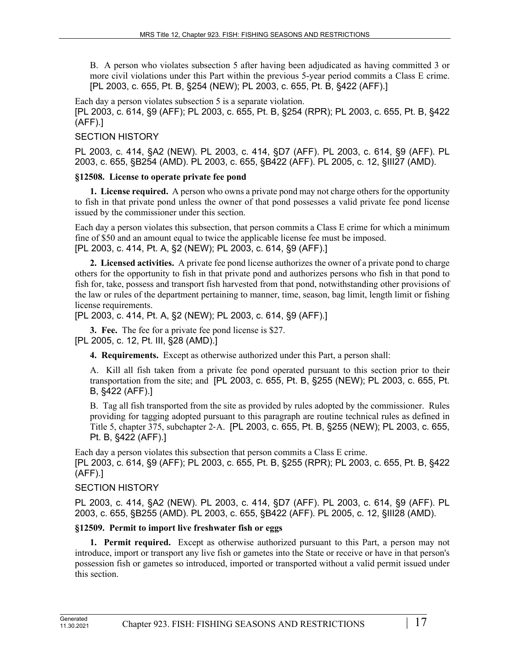B. A person who violates subsection 5 after having been adjudicated as having committed 3 or more civil violations under this Part within the previous 5-year period commits a Class E crime. [PL 2003, c. 655, Pt. B, §254 (NEW); PL 2003, c. 655, Pt. B, §422 (AFF).]

Each day a person violates subsection 5 is a separate violation. [PL 2003, c. 614, §9 (AFF); PL 2003, c. 655, Pt. B, §254 (RPR); PL 2003, c. 655, Pt. B, §422 (AFF).]

## SECTION HISTORY

PL 2003, c. 414, §A2 (NEW). PL 2003, c. 414, §D7 (AFF). PL 2003, c. 614, §9 (AFF). PL 2003, c. 655, §B254 (AMD). PL 2003, c. 655, §B422 (AFF). PL 2005, c. 12, §III27 (AMD).

## **§12508. License to operate private fee pond**

**1. License required.** A person who owns a private pond may not charge others for the opportunity to fish in that private pond unless the owner of that pond possesses a valid private fee pond license issued by the commissioner under this section.

Each day a person violates this subsection, that person commits a Class E crime for which a minimum fine of \$50 and an amount equal to twice the applicable license fee must be imposed. [PL 2003, c. 414, Pt. A, §2 (NEW); PL 2003, c. 614, §9 (AFF).]

**2. Licensed activities.** A private fee pond license authorizes the owner of a private pond to charge others for the opportunity to fish in that private pond and authorizes persons who fish in that pond to fish for, take, possess and transport fish harvested from that pond, notwithstanding other provisions of the law or rules of the department pertaining to manner, time, season, bag limit, length limit or fishing license requirements.

[PL 2003, c. 414, Pt. A, §2 (NEW); PL 2003, c. 614, §9 (AFF).]

**3. Fee.** The fee for a private fee pond license is \$27.

## [PL 2005, c. 12, Pt. III, §28 (AMD).]

**4. Requirements.** Except as otherwise authorized under this Part, a person shall:

A. Kill all fish taken from a private fee pond operated pursuant to this section prior to their transportation from the site; and [PL 2003, c. 655, Pt. B, §255 (NEW); PL 2003, c. 655, Pt. B, §422 (AFF).]

B. Tag all fish transported from the site as provided by rules adopted by the commissioner. Rules providing for tagging adopted pursuant to this paragraph are routine technical rules as defined in Title 5, chapter 375, subchapter 2‑A. [PL 2003, c. 655, Pt. B, §255 (NEW); PL 2003, c. 655, Pt. B, §422 (AFF).]

Each day a person violates this subsection that person commits a Class E crime. [PL 2003, c. 614, §9 (AFF); PL 2003, c. 655, Pt. B, §255 (RPR); PL 2003, c. 655, Pt. B, §422 (AFF).]

## SECTION HISTORY

PL 2003, c. 414, §A2 (NEW). PL 2003, c. 414, §D7 (AFF). PL 2003, c. 614, §9 (AFF). PL 2003, c. 655, §B255 (AMD). PL 2003, c. 655, §B422 (AFF). PL 2005, c. 12, §III28 (AMD).

## **§12509. Permit to import live freshwater fish or eggs**

**1. Permit required.** Except as otherwise authorized pursuant to this Part, a person may not introduce, import or transport any live fish or gametes into the State or receive or have in that person's possession fish or gametes so introduced, imported or transported without a valid permit issued under this section.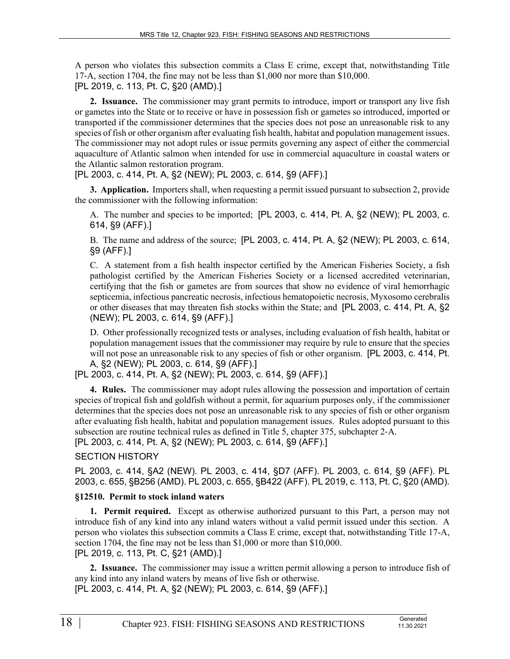A person who violates this subsection commits a Class E crime, except that, notwithstanding Title 17‑A, section 1704, the fine may not be less than \$1,000 nor more than \$10,000. [PL 2019, c. 113, Pt. C, §20 (AMD).]

**2. Issuance.** The commissioner may grant permits to introduce, import or transport any live fish or gametes into the State or to receive or have in possession fish or gametes so introduced, imported or transported if the commissioner determines that the species does not pose an unreasonable risk to any species of fish or other organism after evaluating fish health, habitat and population management issues. The commissioner may not adopt rules or issue permits governing any aspect of either the commercial aquaculture of Atlantic salmon when intended for use in commercial aquaculture in coastal waters or the Atlantic salmon restoration program.

[PL 2003, c. 414, Pt. A, §2 (NEW); PL 2003, c. 614, §9 (AFF).]

**3. Application.** Importers shall, when requesting a permit issued pursuant to subsection 2, provide the commissioner with the following information:

A. The number and species to be imported; [PL 2003, c. 414, Pt. A, §2 (NEW); PL 2003, c. 614, §9 (AFF).]

B. The name and address of the source; [PL 2003, c. 414, Pt. A, §2 (NEW); PL 2003, c. 614, §9 (AFF).]

C. A statement from a fish health inspector certified by the American Fisheries Society, a fish pathologist certified by the American Fisheries Society or a licensed accredited veterinarian, certifying that the fish or gametes are from sources that show no evidence of viral hemorrhagic septicemia, infectious pancreatic necrosis, infectious hematopoietic necrosis, Myxosomo cerebralis or other diseases that may threaten fish stocks within the State; and [PL 2003, c. 414, Pt. A, §2 (NEW); PL 2003, c. 614, §9 (AFF).]

D. Other professionally recognized tests or analyses, including evaluation of fish health, habitat or population management issues that the commissioner may require by rule to ensure that the species will not pose an unreasonable risk to any species of fish or other organism. [PL 2003, c. 414, Pt. A, §2 (NEW); PL 2003, c. 614, §9 (AFF).]

[PL 2003, c. 414, Pt. A, §2 (NEW); PL 2003, c. 614, §9 (AFF).]

**4. Rules.** The commissioner may adopt rules allowing the possession and importation of certain species of tropical fish and goldfish without a permit, for aquarium purposes only, if the commissioner determines that the species does not pose an unreasonable risk to any species of fish or other organism after evaluating fish health, habitat and population management issues. Rules adopted pursuant to this subsection are routine technical rules as defined in Title 5, chapter 375, subchapter 2‑A. [PL 2003, c. 414, Pt. A, §2 (NEW); PL 2003, c. 614, §9 (AFF).]

## SECTION HISTORY

PL 2003, c. 414, §A2 (NEW). PL 2003, c. 414, §D7 (AFF). PL 2003, c. 614, §9 (AFF). PL 2003, c. 655, §B256 (AMD). PL 2003, c. 655, §B422 (AFF). PL 2019, c. 113, Pt. C, §20 (AMD).

## **§12510. Permit to stock inland waters**

**1. Permit required.** Except as otherwise authorized pursuant to this Part, a person may not introduce fish of any kind into any inland waters without a valid permit issued under this section. A person who violates this subsection commits a Class E crime, except that, notwithstanding Title 17-A, section 1704, the fine may not be less than \$1,000 or more than \$10,000. [PL 2019, c. 113, Pt. C, §21 (AMD).]

**2. Issuance.** The commissioner may issue a written permit allowing a person to introduce fish of any kind into any inland waters by means of live fish or otherwise.

[PL 2003, c. 414, Pt. A, §2 (NEW); PL 2003, c. 614, §9 (AFF).]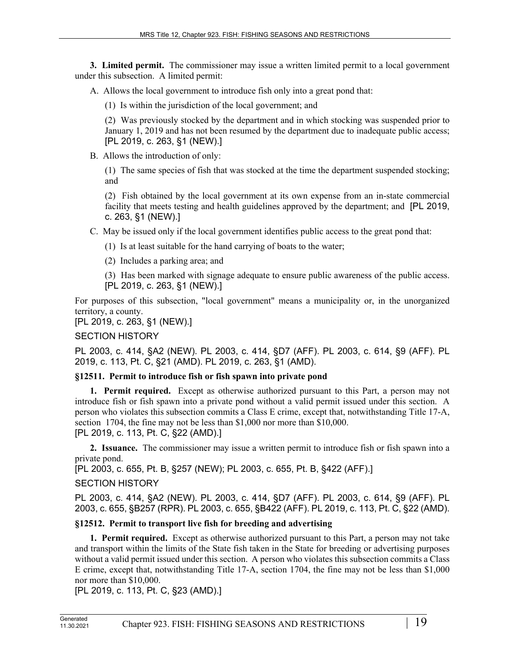**3. Limited permit.** The commissioner may issue a written limited permit to a local government under this subsection. A limited permit:

A. Allows the local government to introduce fish only into a great pond that:

(1) Is within the jurisdiction of the local government; and

(2) Was previously stocked by the department and in which stocking was suspended prior to January 1, 2019 and has not been resumed by the department due to inadequate public access; [PL 2019, c. 263, §1 (NEW).]

B. Allows the introduction of only:

(1) The same species of fish that was stocked at the time the department suspended stocking; and

(2) Fish obtained by the local government at its own expense from an in-state commercial facility that meets testing and health guidelines approved by the department; and [PL 2019, c. 263, §1 (NEW).]

C. May be issued only if the local government identifies public access to the great pond that:

(1) Is at least suitable for the hand carrying of boats to the water;

(2) Includes a parking area; and

(3) Has been marked with signage adequate to ensure public awareness of the public access. [PL 2019, c. 263, §1 (NEW).]

For purposes of this subsection, "local government" means a municipality or, in the unorganized territory, a county.

[PL 2019, c. 263, §1 (NEW).]

# SECTION HISTORY

PL 2003, c. 414, §A2 (NEW). PL 2003, c. 414, §D7 (AFF). PL 2003, c. 614, §9 (AFF). PL 2019, c. 113, Pt. C, §21 (AMD). PL 2019, c. 263, §1 (AMD).

# **§12511. Permit to introduce fish or fish spawn into private pond**

**1. Permit required.** Except as otherwise authorized pursuant to this Part, a person may not introduce fish or fish spawn into a private pond without a valid permit issued under this section. A person who violates this subsection commits a Class E crime, except that, notwithstanding Title 17-A, section 1704, the fine may not be less than \$1,000 nor more than \$10,000. [PL 2019, c. 113, Pt. C, §22 (AMD).]

**2. Issuance.** The commissioner may issue a written permit to introduce fish or fish spawn into a private pond.

[PL 2003, c. 655, Pt. B, §257 (NEW); PL 2003, c. 655, Pt. B, §422 (AFF).]

# SECTION HISTORY

PL 2003, c. 414, §A2 (NEW). PL 2003, c. 414, §D7 (AFF). PL 2003, c. 614, §9 (AFF). PL 2003, c. 655, §B257 (RPR). PL 2003, c. 655, §B422 (AFF). PL 2019, c. 113, Pt. C, §22 (AMD).

# **§12512. Permit to transport live fish for breeding and advertising**

**1. Permit required.** Except as otherwise authorized pursuant to this Part, a person may not take and transport within the limits of the State fish taken in the State for breeding or advertising purposes without a valid permit issued under this section. A person who violates this subsection commits a Class E crime, except that, notwithstanding Title 17-A, section 1704, the fine may not be less than \$1,000 nor more than \$10,000.

[PL 2019, c. 113, Pt. C, §23 (AMD).]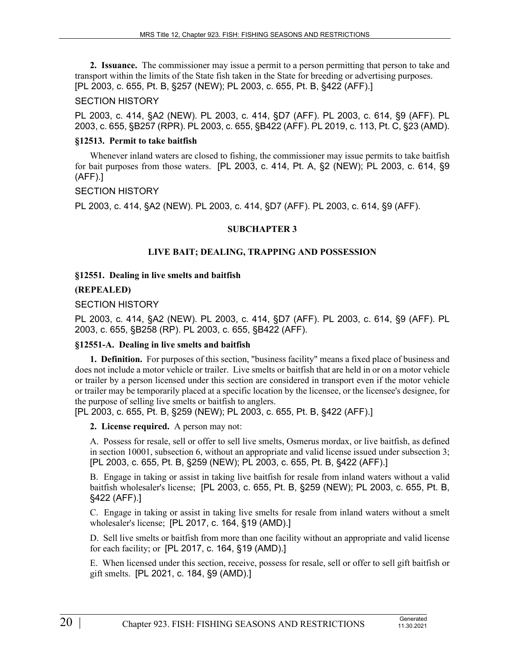**2. Issuance.** The commissioner may issue a permit to a person permitting that person to take and transport within the limits of the State fish taken in the State for breeding or advertising purposes. [PL 2003, c. 655, Pt. B, §257 (NEW); PL 2003, c. 655, Pt. B, §422 (AFF).]

### SECTION HISTORY

PL 2003, c. 414, §A2 (NEW). PL 2003, c. 414, §D7 (AFF). PL 2003, c. 614, §9 (AFF). PL 2003, c. 655, §B257 (RPR). PL 2003, c. 655, §B422 (AFF). PL 2019, c. 113, Pt. C, §23 (AMD).

### **§12513. Permit to take baitfish**

Whenever inland waters are closed to fishing, the commissioner may issue permits to take baitfish for bait purposes from those waters. [PL 2003, c. 414, Pt. A, §2 (NEW); PL 2003, c. 614, §9 (AFF).]

#### SECTION HISTORY

PL 2003, c. 414, §A2 (NEW). PL 2003, c. 414, §D7 (AFF). PL 2003, c. 614, §9 (AFF).

## **SUBCHAPTER 3**

## **LIVE BAIT; DEALING, TRAPPING AND POSSESSION**

**§12551. Dealing in live smelts and baitfish**

**(REPEALED)**

#### SECTION HISTORY

PL 2003, c. 414, §A2 (NEW). PL 2003, c. 414, §D7 (AFF). PL 2003, c. 614, §9 (AFF). PL 2003, c. 655, §B258 (RP). PL 2003, c. 655, §B422 (AFF).

## **§12551-A. Dealing in live smelts and baitfish**

**1. Definition.** For purposes of this section, "business facility" means a fixed place of business and does not include a motor vehicle or trailer. Live smelts or baitfish that are held in or on a motor vehicle or trailer by a person licensed under this section are considered in transport even if the motor vehicle or trailer may be temporarily placed at a specific location by the licensee, or the licensee's designee, for the purpose of selling live smelts or baitfish to anglers.

[PL 2003, c. 655, Pt. B, §259 (NEW); PL 2003, c. 655, Pt. B, §422 (AFF).]

**2. License required.** A person may not:

A. Possess for resale, sell or offer to sell live smelts, Osmerus mordax, or live baitfish, as defined in section 10001, subsection 6, without an appropriate and valid license issued under subsection 3; [PL 2003, c. 655, Pt. B, §259 (NEW); PL 2003, c. 655, Pt. B, §422 (AFF).]

B. Engage in taking or assist in taking live baitfish for resale from inland waters without a valid baitfish wholesaler's license; [PL 2003, c. 655, Pt. B, §259 (NEW); PL 2003, c. 655, Pt. B, §422 (AFF).]

C. Engage in taking or assist in taking live smelts for resale from inland waters without a smelt wholesaler's license; [PL 2017, c. 164, §19 (AMD).]

D. Sell live smelts or baitfish from more than one facility without an appropriate and valid license for each facility; or [PL 2017, c. 164, §19 (AMD).]

E. When licensed under this section, receive, possess for resale, sell or offer to sell gift baitfish or gift smelts. [PL 2021, c. 184, §9 (AMD).]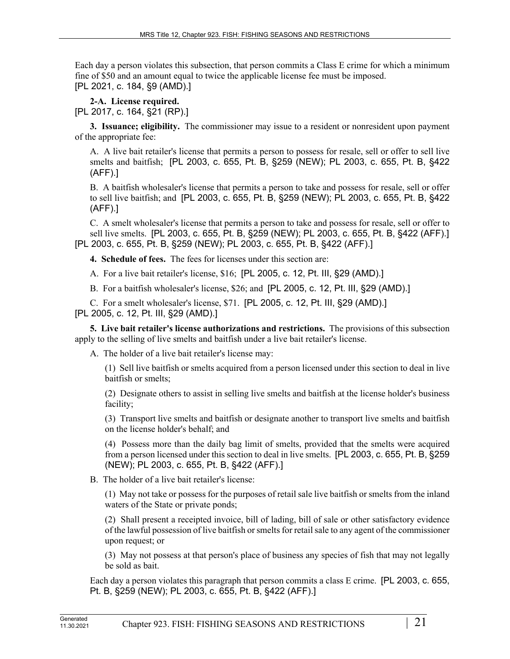Each day a person violates this subsection, that person commits a Class E crime for which a minimum fine of \$50 and an amount equal to twice the applicable license fee must be imposed. [PL 2021, c. 184, §9 (AMD).]

**2-A. License required.** 

[PL 2017, c. 164, §21 (RP).]

**3. Issuance; eligibility.** The commissioner may issue to a resident or nonresident upon payment of the appropriate fee:

A. A live bait retailer's license that permits a person to possess for resale, sell or offer to sell live smelts and baitfish; [PL 2003, c. 655, Pt. B, §259 (NEW); PL 2003, c. 655, Pt. B, §422 (AFF).]

B. A baitfish wholesaler's license that permits a person to take and possess for resale, sell or offer to sell live baitfish; and [PL 2003, c. 655, Pt. B, §259 (NEW); PL 2003, c. 655, Pt. B, §422 (AFF).]

C. A smelt wholesaler's license that permits a person to take and possess for resale, sell or offer to sell live smelts. [PL 2003, c. 655, Pt. B, §259 (NEW); PL 2003, c. 655, Pt. B, §422 (AFF).] [PL 2003, c. 655, Pt. B, §259 (NEW); PL 2003, c. 655, Pt. B, §422 (AFF).]

**4. Schedule of fees.** The fees for licenses under this section are:

A. For a live bait retailer's license, \$16; [PL 2005, c. 12, Pt. III, §29 (AMD).]

B. For a baitfish wholesaler's license, \$26; and [PL 2005, c. 12, Pt. III, §29 (AMD).]

C. For a smelt wholesaler's license, \$71. [PL 2005, c. 12, Pt. III, §29 (AMD).] [PL 2005, c. 12, Pt. III, §29 (AMD).]

**5. Live bait retailer's license authorizations and restrictions.** The provisions of this subsection apply to the selling of live smelts and baitfish under a live bait retailer's license.

A. The holder of a live bait retailer's license may:

(1) Sell live baitfish or smelts acquired from a person licensed under this section to deal in live baitfish or smelts;

(2) Designate others to assist in selling live smelts and baitfish at the license holder's business facility;

(3) Transport live smelts and baitfish or designate another to transport live smelts and baitfish on the license holder's behalf; and

(4) Possess more than the daily bag limit of smelts, provided that the smelts were acquired from a person licensed under this section to deal in live smelts. [PL 2003, c. 655, Pt. B, §259 (NEW); PL 2003, c. 655, Pt. B, §422 (AFF).]

B. The holder of a live bait retailer's license:

(1) May not take or possess for the purposes of retail sale live baitfish or smelts from the inland waters of the State or private ponds;

(2) Shall present a receipted invoice, bill of lading, bill of sale or other satisfactory evidence of the lawful possession of live baitfish or smelts for retail sale to any agent of the commissioner upon request; or

(3) May not possess at that person's place of business any species of fish that may not legally be sold as bait.

Each day a person violates this paragraph that person commits a class E crime. [PL 2003, c. 655, Pt. B, §259 (NEW); PL 2003, c. 655, Pt. B, §422 (AFF).]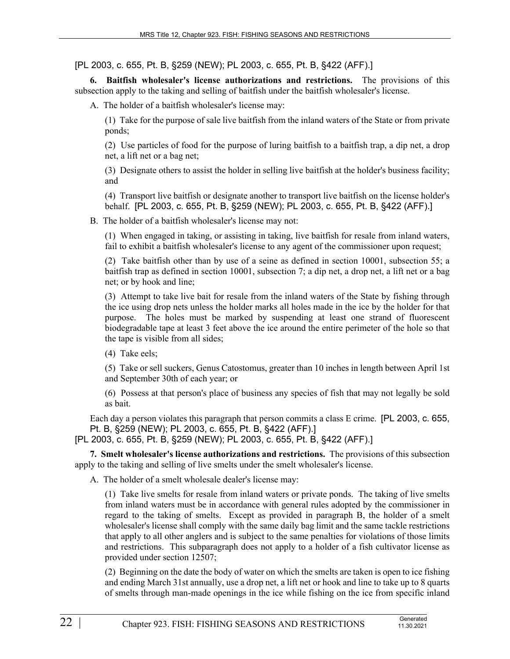[PL 2003, c. 655, Pt. B, §259 (NEW); PL 2003, c. 655, Pt. B, §422 (AFF).]

**6. Baitfish wholesaler's license authorizations and restrictions.** The provisions of this subsection apply to the taking and selling of baitfish under the baitfish wholesaler's license.

A. The holder of a baitfish wholesaler's license may:

(1) Take for the purpose of sale live baitfish from the inland waters of the State or from private ponds;

(2) Use particles of food for the purpose of luring baitfish to a baitfish trap, a dip net, a drop net, a lift net or a bag net;

(3) Designate others to assist the holder in selling live baitfish at the holder's business facility; and

(4) Transport live baitfish or designate another to transport live baitfish on the license holder's behalf. [PL 2003, c. 655, Pt. B, §259 (NEW); PL 2003, c. 655, Pt. B, §422 (AFF).]

B. The holder of a baitfish wholesaler's license may not:

(1) When engaged in taking, or assisting in taking, live baitfish for resale from inland waters, fail to exhibit a baitfish wholesaler's license to any agent of the commissioner upon request;

(2) Take baitfish other than by use of a seine as defined in section 10001, subsection 55; a baitfish trap as defined in section 10001, subsection 7; a dip net, a drop net, a lift net or a bag net; or by hook and line;

(3) Attempt to take live bait for resale from the inland waters of the State by fishing through the ice using drop nets unless the holder marks all holes made in the ice by the holder for that purpose. The holes must be marked by suspending at least one strand of fluorescent biodegradable tape at least 3 feet above the ice around the entire perimeter of the hole so that the tape is visible from all sides;

(4) Take eels;

(5) Take or sell suckers, Genus Catostomus, greater than 10 inches in length between April 1st and September 30th of each year; or

(6) Possess at that person's place of business any species of fish that may not legally be sold as bait.

Each day a person violates this paragraph that person commits a class E crime. [PL 2003, c. 655, Pt. B, §259 (NEW); PL 2003, c. 655, Pt. B, §422 (AFF).]

[PL 2003, c. 655, Pt. B, §259 (NEW); PL 2003, c. 655, Pt. B, §422 (AFF).]

**7. Smelt wholesaler's license authorizations and restrictions.** The provisions of this subsection apply to the taking and selling of live smelts under the smelt wholesaler's license.

A. The holder of a smelt wholesale dealer's license may:

(1) Take live smelts for resale from inland waters or private ponds. The taking of live smelts from inland waters must be in accordance with general rules adopted by the commissioner in regard to the taking of smelts. Except as provided in paragraph B, the holder of a smelt wholesaler's license shall comply with the same daily bag limit and the same tackle restrictions that apply to all other anglers and is subject to the same penalties for violations of those limits and restrictions. This subparagraph does not apply to a holder of a fish cultivator license as provided under section 12507;

(2) Beginning on the date the body of water on which the smelts are taken is open to ice fishing and ending March 31st annually, use a drop net, a lift net or hook and line to take up to 8 quarts of smelts through man-made openings in the ice while fishing on the ice from specific inland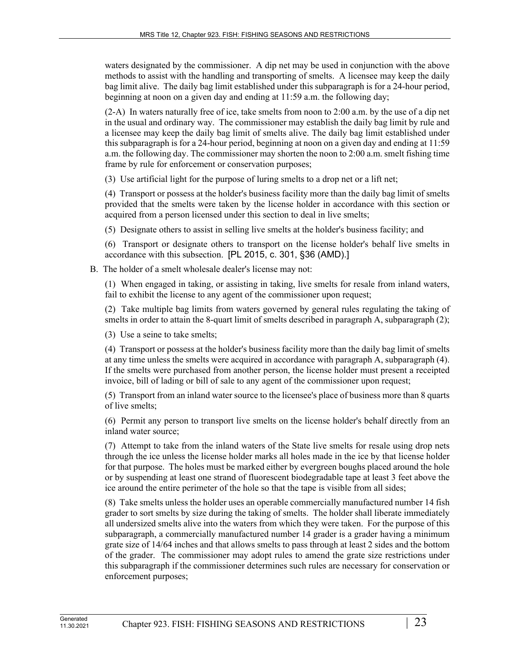waters designated by the commissioner. A dip net may be used in conjunction with the above methods to assist with the handling and transporting of smelts. A licensee may keep the daily bag limit alive. The daily bag limit established under this subparagraph is for a 24-hour period, beginning at noon on a given day and ending at 11:59 a.m. the following day;

(2-A) In waters naturally free of ice, take smelts from noon to 2:00 a.m. by the use of a dip net in the usual and ordinary way. The commissioner may establish the daily bag limit by rule and a licensee may keep the daily bag limit of smelts alive. The daily bag limit established under this subparagraph is for a 24-hour period, beginning at noon on a given day and ending at 11:59 a.m. the following day. The commissioner may shorten the noon to 2:00 a.m. smelt fishing time frame by rule for enforcement or conservation purposes;

(3) Use artificial light for the purpose of luring smelts to a drop net or a lift net;

(4) Transport or possess at the holder's business facility more than the daily bag limit of smelts provided that the smelts were taken by the license holder in accordance with this section or acquired from a person licensed under this section to deal in live smelts;

(5) Designate others to assist in selling live smelts at the holder's business facility; and

(6) Transport or designate others to transport on the license holder's behalf live smelts in accordance with this subsection. [PL 2015, c. 301, §36 (AMD).]

B. The holder of a smelt wholesale dealer's license may not:

(1) When engaged in taking, or assisting in taking, live smelts for resale from inland waters, fail to exhibit the license to any agent of the commissioner upon request;

(2) Take multiple bag limits from waters governed by general rules regulating the taking of smelts in order to attain the 8-quart limit of smelts described in paragraph A, subparagraph (2);

(3) Use a seine to take smelts;

(4) Transport or possess at the holder's business facility more than the daily bag limit of smelts at any time unless the smelts were acquired in accordance with paragraph A, subparagraph (4). If the smelts were purchased from another person, the license holder must present a receipted invoice, bill of lading or bill of sale to any agent of the commissioner upon request;

(5) Transport from an inland water source to the licensee's place of business more than 8 quarts of live smelts;

(6) Permit any person to transport live smelts on the license holder's behalf directly from an inland water source;

(7) Attempt to take from the inland waters of the State live smelts for resale using drop nets through the ice unless the license holder marks all holes made in the ice by that license holder for that purpose. The holes must be marked either by evergreen boughs placed around the hole or by suspending at least one strand of fluorescent biodegradable tape at least 3 feet above the ice around the entire perimeter of the hole so that the tape is visible from all sides;

(8) Take smelts unless the holder uses an operable commercially manufactured number 14 fish grader to sort smelts by size during the taking of smelts. The holder shall liberate immediately all undersized smelts alive into the waters from which they were taken. For the purpose of this subparagraph, a commercially manufactured number 14 grader is a grader having a minimum grate size of 14/64 inches and that allows smelts to pass through at least 2 sides and the bottom of the grader. The commissioner may adopt rules to amend the grate size restrictions under this subparagraph if the commissioner determines such rules are necessary for conservation or enforcement purposes;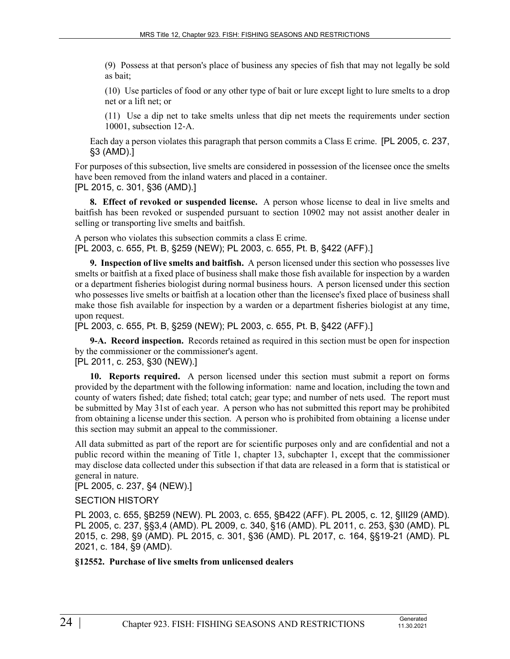(9) Possess at that person's place of business any species of fish that may not legally be sold as bait;

(10) Use particles of food or any other type of bait or lure except light to lure smelts to a drop net or a lift net; or

(11) Use a dip net to take smelts unless that dip net meets the requirements under section 10001, subsection 12‑A.

Each day a person violates this paragraph that person commits a Class E crime. [PL 2005, c. 237, §3 (AMD).]

For purposes of this subsection, live smelts are considered in possession of the licensee once the smelts have been removed from the inland waters and placed in a container.

[PL 2015, c. 301, §36 (AMD).]

**8. Effect of revoked or suspended license.** A person whose license to deal in live smelts and baitfish has been revoked or suspended pursuant to section 10902 may not assist another dealer in selling or transporting live smelts and baitfish.

A person who violates this subsection commits a class E crime. [PL 2003, c. 655, Pt. B, §259 (NEW); PL 2003, c. 655, Pt. B, §422 (AFF).]

**9. Inspection of live smelts and baitfish.** A person licensed under this section who possesses live smelts or baitfish at a fixed place of business shall make those fish available for inspection by a warden or a department fisheries biologist during normal business hours. A person licensed under this section who possesses live smelts or baitfish at a location other than the licensee's fixed place of business shall make those fish available for inspection by a warden or a department fisheries biologist at any time, upon request.

[PL 2003, c. 655, Pt. B, §259 (NEW); PL 2003, c. 655, Pt. B, §422 (AFF).]

**9-A. Record inspection.** Records retained as required in this section must be open for inspection by the commissioner or the commissioner's agent.

[PL 2011, c. 253, §30 (NEW).]

**10. Reports required.** A person licensed under this section must submit a report on forms provided by the department with the following information: name and location, including the town and county of waters fished; date fished; total catch; gear type; and number of nets used. The report must be submitted by May 31st of each year. A person who has not submitted this report may be prohibited from obtaining a license under this section. A person who is prohibited from obtaining a license under this section may submit an appeal to the commissioner.

All data submitted as part of the report are for scientific purposes only and are confidential and not a public record within the meaning of Title 1, chapter 13, subchapter 1, except that the commissioner may disclose data collected under this subsection if that data are released in a form that is statistical or general in nature.

[PL 2005, c. 237, §4 (NEW).]

SECTION HISTORY

PL 2003, c. 655, §B259 (NEW). PL 2003, c. 655, §B422 (AFF). PL 2005, c. 12, §III29 (AMD). PL 2005, c. 237, §§3,4 (AMD). PL 2009, c. 340, §16 (AMD). PL 2011, c. 253, §30 (AMD). PL 2015, c. 298, §9 (AMD). PL 2015, c. 301, §36 (AMD). PL 2017, c. 164, §§19-21 (AMD). PL 2021, c. 184, §9 (AMD).

**§12552. Purchase of live smelts from unlicensed dealers**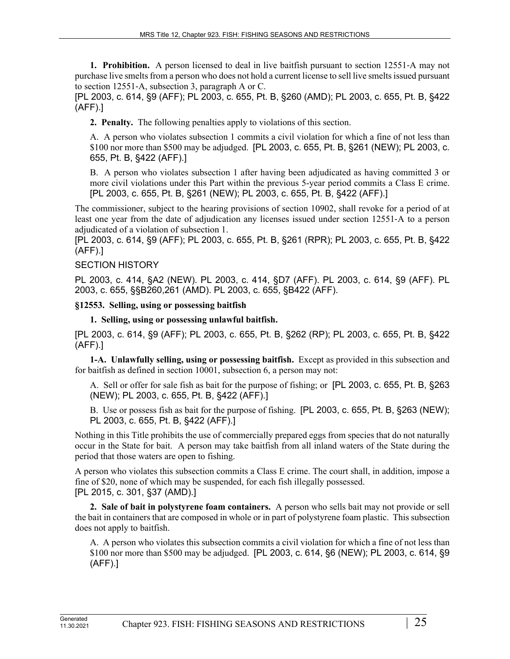**1. Prohibition.** A person licensed to deal in live baitfish pursuant to section 12551–A may not purchase live smelts from a person who does not hold a current license to sell live smelts issued pursuant to section 12551‑A, subsection 3, paragraph A or C.

[PL 2003, c. 614, §9 (AFF); PL 2003, c. 655, Pt. B, §260 (AMD); PL 2003, c. 655, Pt. B, §422 (AFF).]

**2. Penalty.** The following penalties apply to violations of this section.

A. A person who violates subsection 1 commits a civil violation for which a fine of not less than \$100 nor more than \$500 may be adjudged. [PL 2003, c. 655, Pt. B, §261 (NEW); PL 2003, c. 655, Pt. B, §422 (AFF).]

B. A person who violates subsection 1 after having been adjudicated as having committed 3 or more civil violations under this Part within the previous 5-year period commits a Class E crime. [PL 2003, c. 655, Pt. B, §261 (NEW); PL 2003, c. 655, Pt. B, §422 (AFF).]

The commissioner, subject to the hearing provisions of section 10902, shall revoke for a period of at least one year from the date of adjudication any licenses issued under section 12551‑A to a person adjudicated of a violation of subsection 1.

[PL 2003, c. 614, §9 (AFF); PL 2003, c. 655, Pt. B, §261 (RPR); PL 2003, c. 655, Pt. B, §422 (AFF).]

# SECTION HISTORY

PL 2003, c. 414, §A2 (NEW). PL 2003, c. 414, §D7 (AFF). PL 2003, c. 614, §9 (AFF). PL 2003, c. 655, §§B260,261 (AMD). PL 2003, c. 655, §B422 (AFF).

**§12553. Selling, using or possessing baitfish**

**1. Selling, using or possessing unlawful baitfish.** 

[PL 2003, c. 614, §9 (AFF); PL 2003, c. 655, Pt. B, §262 (RP); PL 2003, c. 655, Pt. B, §422 (AFF).]

**1-A. Unlawfully selling, using or possessing baitfish.** Except as provided in this subsection and for baitfish as defined in section 10001, subsection 6, a person may not:

A. Sell or offer for sale fish as bait for the purpose of fishing; or [PL 2003, c. 655, Pt. B, §263 (NEW); PL 2003, c. 655, Pt. B, §422 (AFF).]

B. Use or possess fish as bait for the purpose of fishing. [PL 2003, c. 655, Pt. B, §263 (NEW); PL 2003, c. 655, Pt. B, §422 (AFF).]

Nothing in this Title prohibits the use of commercially prepared eggs from species that do not naturally occur in the State for bait. A person may take baitfish from all inland waters of the State during the period that those waters are open to fishing.

A person who violates this subsection commits a Class E crime. The court shall, in addition, impose a fine of \$20, none of which may be suspended, for each fish illegally possessed. [PL 2015, c. 301, §37 (AMD).]

**2. Sale of bait in polystyrene foam containers.** A person who sells bait may not provide or sell the bait in containers that are composed in whole or in part of polystyrene foam plastic. This subsection does not apply to baitfish.

A. A person who violates this subsection commits a civil violation for which a fine of not less than \$100 nor more than \$500 may be adjudged. [PL 2003, c. 614, §6 (NEW); PL 2003, c. 614, §9 (AFF).]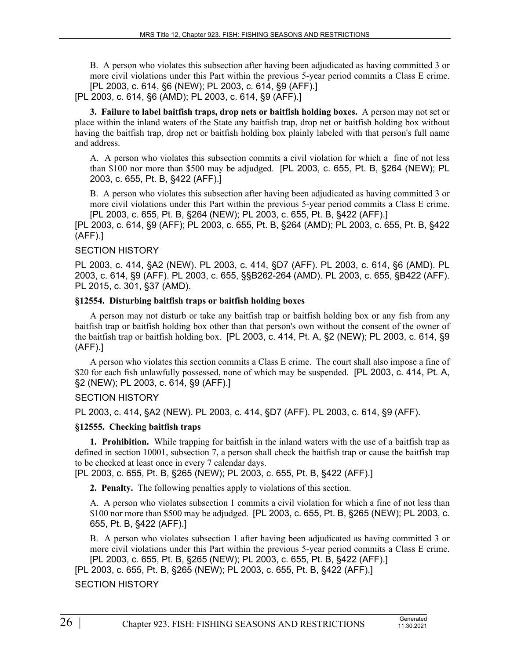B. A person who violates this subsection after having been adjudicated as having committed 3 or more civil violations under this Part within the previous 5-year period commits a Class E crime. [PL 2003, c. 614, §6 (NEW); PL 2003, c. 614, §9 (AFF).]

[PL 2003, c. 614, §6 (AMD); PL 2003, c. 614, §9 (AFF).]

**3. Failure to label baitfish traps, drop nets or baitfish holding boxes.** A person may not set or place within the inland waters of the State any baitfish trap, drop net or baitfish holding box without having the baitfish trap, drop net or baitfish holding box plainly labeled with that person's full name and address.

A. A person who violates this subsection commits a civil violation for which a fine of not less than \$100 nor more than \$500 may be adjudged. [PL 2003, c. 655, Pt. B, §264 (NEW); PL 2003, c. 655, Pt. B, §422 (AFF).]

B. A person who violates this subsection after having been adjudicated as having committed 3 or more civil violations under this Part within the previous 5-year period commits a Class E crime. [PL 2003, c. 655, Pt. B, §264 (NEW); PL 2003, c. 655, Pt. B, §422 (AFF).]

[PL 2003, c. 614, §9 (AFF); PL 2003, c. 655, Pt. B, §264 (AMD); PL 2003, c. 655, Pt. B, §422 (AFF).]

## SECTION HISTORY

PL 2003, c. 414, §A2 (NEW). PL 2003, c. 414, §D7 (AFF). PL 2003, c. 614, §6 (AMD). PL 2003, c. 614, §9 (AFF). PL 2003, c. 655, §§B262-264 (AMD). PL 2003, c. 655, §B422 (AFF). PL 2015, c. 301, §37 (AMD).

#### **§12554. Disturbing baitfish traps or baitfish holding boxes**

A person may not disturb or take any baitfish trap or baitfish holding box or any fish from any baitfish trap or baitfish holding box other than that person's own without the consent of the owner of the baitfish trap or baitfish holding box. [PL 2003, c. 414, Pt. A, §2 (NEW); PL 2003, c. 614, §9 (AFF).]

A person who violates this section commits a Class E crime. The court shall also impose a fine of \$20 for each fish unlawfully possessed, none of which may be suspended. [PL 2003, c. 414, Pt. A, §2 (NEW); PL 2003, c. 614, §9 (AFF).]

## SECTION HISTORY

PL 2003, c. 414, §A2 (NEW). PL 2003, c. 414, §D7 (AFF). PL 2003, c. 614, §9 (AFF).

## **§12555. Checking baitfish traps**

**1. Prohibition.** While trapping for baitfish in the inland waters with the use of a baitfish trap as defined in section 10001, subsection 7, a person shall check the baitfish trap or cause the baitfish trap to be checked at least once in every 7 calendar days.

[PL 2003, c. 655, Pt. B, §265 (NEW); PL 2003, c. 655, Pt. B, §422 (AFF).]

**2. Penalty.** The following penalties apply to violations of this section.

A. A person who violates subsection 1 commits a civil violation for which a fine of not less than \$100 nor more than \$500 may be adjudged. [PL 2003, c. 655, Pt. B, §265 (NEW); PL 2003, c. 655, Pt. B, §422 (AFF).]

B. A person who violates subsection 1 after having been adjudicated as having committed 3 or more civil violations under this Part within the previous 5-year period commits a Class E crime. [PL 2003, c. 655, Pt. B, §265 (NEW); PL 2003, c. 655, Pt. B, §422 (AFF).]

[PL 2003, c. 655, Pt. B, §265 (NEW); PL 2003, c. 655, Pt. B, §422 (AFF).]

## SECTION HISTORY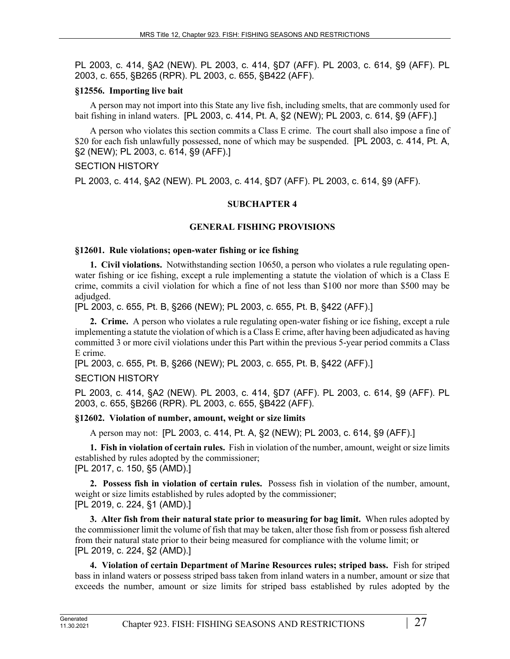PL 2003, c. 414, §A2 (NEW). PL 2003, c. 414, §D7 (AFF). PL 2003, c. 614, §9 (AFF). PL 2003, c. 655, §B265 (RPR). PL 2003, c. 655, §B422 (AFF).

#### **§12556. Importing live bait**

A person may not import into this State any live fish, including smelts, that are commonly used for bait fishing in inland waters. [PL 2003, c. 414, Pt. A, §2 (NEW); PL 2003, c. 614, §9 (AFF).]

A person who violates this section commits a Class E crime. The court shall also impose a fine of \$20 for each fish unlawfully possessed, none of which may be suspended. [PL 2003, c. 414, Pt. A, §2 (NEW); PL 2003, c. 614, §9 (AFF).]

## SECTION HISTORY

PL 2003, c. 414, §A2 (NEW). PL 2003, c. 414, §D7 (AFF). PL 2003, c. 614, §9 (AFF).

## **SUBCHAPTER 4**

## **GENERAL FISHING PROVISIONS**

#### **§12601. Rule violations; open-water fishing or ice fishing**

**1. Civil violations.** Notwithstanding section 10650, a person who violates a rule regulating openwater fishing or ice fishing, except a rule implementing a statute the violation of which is a Class E crime, commits a civil violation for which a fine of not less than \$100 nor more than \$500 may be adjudged.

[PL 2003, c. 655, Pt. B, §266 (NEW); PL 2003, c. 655, Pt. B, §422 (AFF).]

**2. Crime.** A person who violates a rule regulating open-water fishing or ice fishing, except a rule implementing a statute the violation of which is a Class E crime, after having been adjudicated as having committed 3 or more civil violations under this Part within the previous 5-year period commits a Class E crime.

[PL 2003, c. 655, Pt. B, §266 (NEW); PL 2003, c. 655, Pt. B, §422 (AFF).]

## SECTION HISTORY

PL 2003, c. 414, §A2 (NEW). PL 2003, c. 414, §D7 (AFF). PL 2003, c. 614, §9 (AFF). PL 2003, c. 655, §B266 (RPR). PL 2003, c. 655, §B422 (AFF).

## **§12602. Violation of number, amount, weight or size limits**

A person may not: [PL 2003, c. 414, Pt. A, §2 (NEW); PL 2003, c. 614, §9 (AFF).]

**1. Fish in violation of certain rules.** Fish in violation of the number, amount, weight or size limits established by rules adopted by the commissioner; [PL 2017, c. 150, §5 (AMD).]

**2. Possess fish in violation of certain rules.** Possess fish in violation of the number, amount, weight or size limits established by rules adopted by the commissioner; [PL 2019, c. 224, §1 (AMD).]

**3. Alter fish from their natural state prior to measuring for bag limit.** When rules adopted by the commissioner limit the volume of fish that may be taken, alter those fish from or possess fish altered from their natural state prior to their being measured for compliance with the volume limit; or [PL 2019, c. 224, §2 (AMD).]

**4. Violation of certain Department of Marine Resources rules; striped bass.** Fish for striped bass in inland waters or possess striped bass taken from inland waters in a number, amount or size that exceeds the number, amount or size limits for striped bass established by rules adopted by the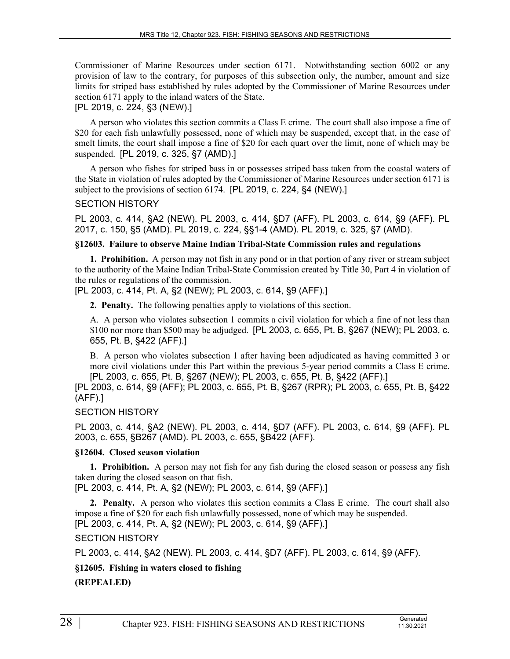Commissioner of Marine Resources under section 6171. Notwithstanding section 6002 or any provision of law to the contrary, for purposes of this subsection only, the number, amount and size limits for striped bass established by rules adopted by the Commissioner of Marine Resources under section 6171 apply to the inland waters of the State.

#### [PL 2019, c. 224, §3 (NEW).]

A person who violates this section commits a Class E crime. The court shall also impose a fine of \$20 for each fish unlawfully possessed, none of which may be suspended, except that, in the case of smelt limits, the court shall impose a fine of \$20 for each quart over the limit, none of which may be suspended. [PL 2019, c. 325, §7 (AMD).]

A person who fishes for striped bass in or possesses striped bass taken from the coastal waters of the State in violation of rules adopted by the Commissioner of Marine Resources under section 6171 is subject to the provisions of section 6174. [PL 2019, c. 224, §4 (NEW).]

#### SECTION HISTORY

PL 2003, c. 414, §A2 (NEW). PL 2003, c. 414, §D7 (AFF). PL 2003, c. 614, §9 (AFF). PL 2017, c. 150, §5 (AMD). PL 2019, c. 224, §§1-4 (AMD). PL 2019, c. 325, §7 (AMD).

#### **§12603. Failure to observe Maine Indian Tribal-State Commission rules and regulations**

**1. Prohibition.** A person may not fish in any pond or in that portion of any river or stream subject to the authority of the Maine Indian Tribal-State Commission created by Title 30, Part 4 in violation of the rules or regulations of the commission.

[PL 2003, c. 414, Pt. A, §2 (NEW); PL 2003, c. 614, §9 (AFF).]

**2. Penalty.** The following penalties apply to violations of this section.

A. A person who violates subsection 1 commits a civil violation for which a fine of not less than \$100 nor more than \$500 may be adjudged. [PL 2003, c. 655, Pt. B, §267 (NEW); PL 2003, c. 655, Pt. B, §422 (AFF).]

B. A person who violates subsection 1 after having been adjudicated as having committed 3 or more civil violations under this Part within the previous 5-year period commits a Class E crime. [PL 2003, c. 655, Pt. B, §267 (NEW); PL 2003, c. 655, Pt. B, §422 (AFF).]

[PL 2003, c. 614, §9 (AFF); PL 2003, c. 655, Pt. B, §267 (RPR); PL 2003, c. 655, Pt. B, §422 (AFF).]

#### SECTION HISTORY

PL 2003, c. 414, §A2 (NEW). PL 2003, c. 414, §D7 (AFF). PL 2003, c. 614, §9 (AFF). PL 2003, c. 655, §B267 (AMD). PL 2003, c. 655, §B422 (AFF).

#### **§12604. Closed season violation**

**1. Prohibition.** A person may not fish for any fish during the closed season or possess any fish taken during the closed season on that fish.

[PL 2003, c. 414, Pt. A, §2 (NEW); PL 2003, c. 614, §9 (AFF).]

**2. Penalty.** A person who violates this section commits a Class E crime. The court shall also impose a fine of \$20 for each fish unlawfully possessed, none of which may be suspended. [PL 2003, c. 414, Pt. A, §2 (NEW); PL 2003, c. 614, §9 (AFF).]

#### SECTION HISTORY

PL 2003, c. 414, §A2 (NEW). PL 2003, c. 414, §D7 (AFF). PL 2003, c. 614, §9 (AFF).

**§12605. Fishing in waters closed to fishing**

**(REPEALED)**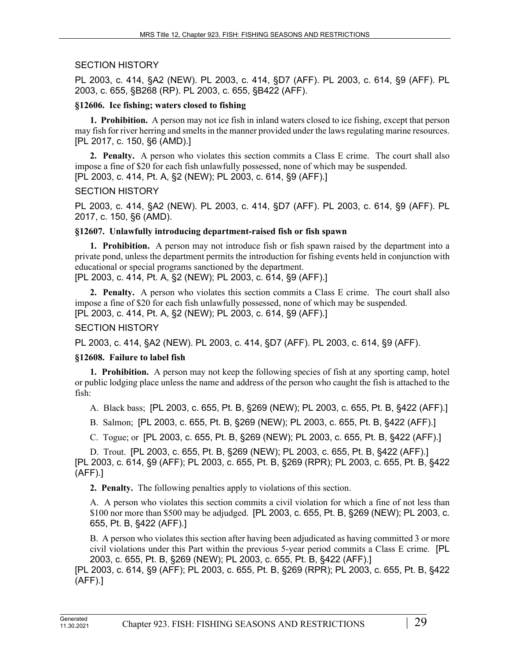## SECTION HISTORY

PL 2003, c. 414, §A2 (NEW). PL 2003, c. 414, §D7 (AFF). PL 2003, c. 614, §9 (AFF). PL 2003, c. 655, §B268 (RP). PL 2003, c. 655, §B422 (AFF).

## **§12606. Ice fishing; waters closed to fishing**

**1. Prohibition.** A person may not ice fish in inland waters closed to ice fishing, except that person may fish for river herring and smelts in the manner provided under the laws regulating marine resources. [PL 2017, c. 150, §6 (AMD).]

**2. Penalty.** A person who violates this section commits a Class E crime. The court shall also impose a fine of \$20 for each fish unlawfully possessed, none of which may be suspended. [PL 2003, c. 414, Pt. A, §2 (NEW); PL 2003, c. 614, §9 (AFF).]

## SECTION HISTORY

PL 2003, c. 414, §A2 (NEW). PL 2003, c. 414, §D7 (AFF). PL 2003, c. 614, §9 (AFF). PL 2017, c. 150, §6 (AMD).

## **§12607. Unlawfully introducing department-raised fish or fish spawn**

**1. Prohibition.** A person may not introduce fish or fish spawn raised by the department into a private pond, unless the department permits the introduction for fishing events held in conjunction with educational or special programs sanctioned by the department.

[PL 2003, c. 414, Pt. A, §2 (NEW); PL 2003, c. 614, §9 (AFF).]

**2. Penalty.** A person who violates this section commits a Class E crime. The court shall also impose a fine of \$20 for each fish unlawfully possessed, none of which may be suspended. [PL 2003, c. 414, Pt. A, §2 (NEW); PL 2003, c. 614, §9 (AFF).]

# SECTION HISTORY

PL 2003, c. 414, §A2 (NEW). PL 2003, c. 414, §D7 (AFF). PL 2003, c. 614, §9 (AFF).

# **§12608. Failure to label fish**

**1. Prohibition.** A person may not keep the following species of fish at any sporting camp, hotel or public lodging place unless the name and address of the person who caught the fish is attached to the fish:

A. Black bass; [PL 2003, c. 655, Pt. B, §269 (NEW); PL 2003, c. 655, Pt. B, §422 (AFF).]

B. Salmon; [PL 2003, c. 655, Pt. B, §269 (NEW); PL 2003, c. 655, Pt. B, §422 (AFF).]

C. Togue; or [PL 2003, c. 655, Pt. B, §269 (NEW); PL 2003, c. 655, Pt. B, §422 (AFF).]

D. Trout. [PL 2003, c. 655, Pt. B, §269 (NEW); PL 2003, c. 655, Pt. B, §422 (AFF).]

[PL 2003, c. 614, §9 (AFF); PL 2003, c. 655, Pt. B, §269 (RPR); PL 2003, c. 655, Pt. B, §422 (AFF).]

**2. Penalty.** The following penalties apply to violations of this section.

A. A person who violates this section commits a civil violation for which a fine of not less than \$100 nor more than \$500 may be adjudged. [PL 2003, c. 655, Pt. B, §269 (NEW); PL 2003, c. 655, Pt. B, §422 (AFF).]

B. A person who violates this section after having been adjudicated as having committed 3 or more civil violations under this Part within the previous 5-year period commits a Class E crime. [PL 2003, c. 655, Pt. B, §269 (NEW); PL 2003, c. 655, Pt. B, §422 (AFF).]

[PL 2003, c. 614, §9 (AFF); PL 2003, c. 655, Pt. B, §269 (RPR); PL 2003, c. 655, Pt. B, §422 (AFF).]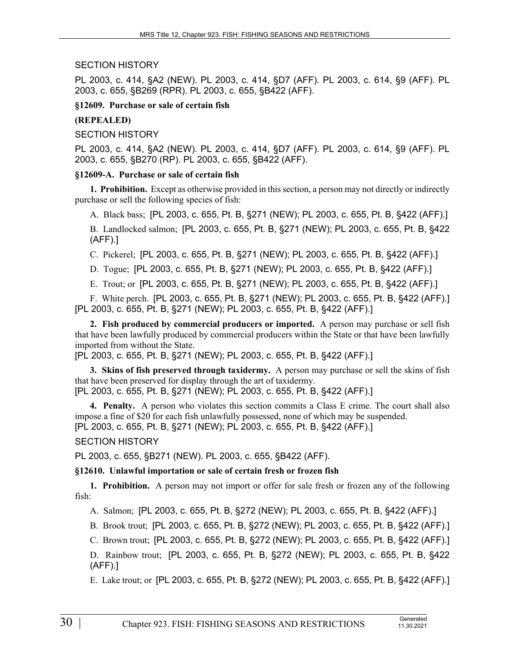#### SECTION HISTORY

PL 2003, c. 414, §A2 (NEW). PL 2003, c. 414, §D7 (AFF). PL 2003, c. 614, §9 (AFF). PL 2003, c. 655, §B269 (RPR). PL 2003, c. 655, §B422 (AFF).

#### **§12609. Purchase or sale of certain fish**

#### **(REPEALED)**

## SECTION HISTORY

PL 2003, c. 414, §A2 (NEW). PL 2003, c. 414, §D7 (AFF). PL 2003, c. 614, §9 (AFF). PL 2003, c. 655, §B270 (RP). PL 2003, c. 655, §B422 (AFF).

#### **§12609-A. Purchase or sale of certain fish**

**1. Prohibition.** Except as otherwise provided in this section, a person may not directly or indirectly purchase or sell the following species of fish:

A. Black bass; [PL 2003, c. 655, Pt. B, §271 (NEW); PL 2003, c. 655, Pt. B, §422 (AFF).]

B. Landlocked salmon; [PL 2003, c. 655, Pt. B, §271 (NEW); PL 2003, c. 655, Pt. B, §422 (AFF).]

C. Pickerel; [PL 2003, c. 655, Pt. B, §271 (NEW); PL 2003, c. 655, Pt. B, §422 (AFF).]

D. Togue; [PL 2003, c. 655, Pt. B, §271 (NEW); PL 2003, c. 655, Pt. B, §422 (AFF).]

E. Trout; or [PL 2003, c. 655, Pt. B, §271 (NEW); PL 2003, c. 655, Pt. B, §422 (AFF).]

F. White perch. [PL 2003, c. 655, Pt. B, §271 (NEW); PL 2003, c. 655, Pt. B, §422 (AFF).] [PL 2003, c. 655, Pt. B, §271 (NEW); PL 2003, c. 655, Pt. B, §422 (AFF).]

**2. Fish produced by commercial producers or imported.** A person may purchase or sell fish that have been lawfully produced by commercial producers within the State or that have been lawfully imported from without the State.

[PL 2003, c. 655, Pt. B, §271 (NEW); PL 2003, c. 655, Pt. B, §422 (AFF).]

**3. Skins of fish preserved through taxidermy.** A person may purchase or sell the skins of fish that have been preserved for display through the art of taxidermy. [PL 2003, c. 655, Pt. B, §271 (NEW); PL 2003, c. 655, Pt. B, §422 (AFF).]

**4. Penalty.** A person who violates this section commits a Class E crime. The court shall also impose a fine of \$20 for each fish unlawfully possessed, none of which may be suspended. [PL 2003, c. 655, Pt. B, §271 (NEW); PL 2003, c. 655, Pt. B, §422 (AFF).]

SECTION HISTORY

PL 2003, c. 655, §B271 (NEW). PL 2003, c. 655, §B422 (AFF).

## **§12610. Unlawful importation or sale of certain fresh or frozen fish**

**1. Prohibition.** A person may not import or offer for sale fresh or frozen any of the following fish:

A. Salmon; [PL 2003, c. 655, Pt. B, §272 (NEW); PL 2003, c. 655, Pt. B, §422 (AFF).]

B. Brook trout; [PL 2003, c. 655, Pt. B, §272 (NEW); PL 2003, c. 655, Pt. B, §422 (AFF).]

C. Brown trout; [PL 2003, c. 655, Pt. B, §272 (NEW); PL 2003, c. 655, Pt. B, §422 (AFF).]

D. Rainbow trout; [PL 2003, c. 655, Pt. B, §272 (NEW); PL 2003, c. 655, Pt. B, §422 (AFF).]

E. Lake trout; or [PL 2003, c. 655, Pt. B, §272 (NEW); PL 2003, c. 655, Pt. B, §422 (AFF).]

11.30.2021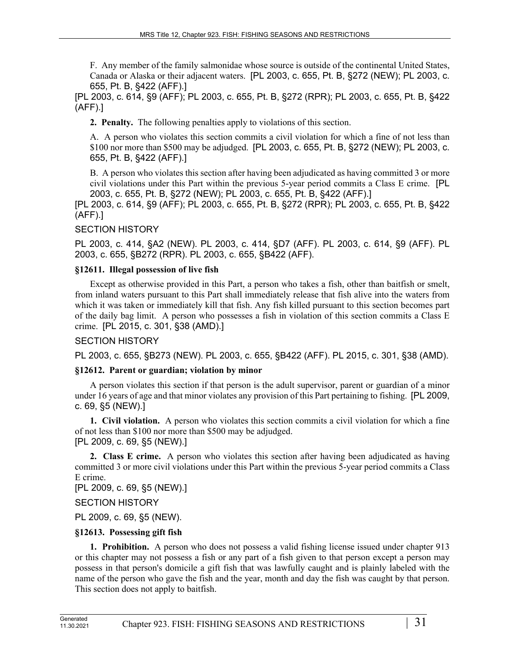F. Any member of the family salmonidae whose source is outside of the continental United States, Canada or Alaska or their adjacent waters. [PL 2003, c. 655, Pt. B, §272 (NEW); PL 2003, c. 655, Pt. B, §422 (AFF).]

[PL 2003, c. 614, §9 (AFF); PL 2003, c. 655, Pt. B, §272 (RPR); PL 2003, c. 655, Pt. B, §422 (AFF).]

**2. Penalty.** The following penalties apply to violations of this section.

A. A person who violates this section commits a civil violation for which a fine of not less than \$100 nor more than \$500 may be adjudged. [PL 2003, c. 655, Pt. B, §272 (NEW); PL 2003, c. 655, Pt. B, §422 (AFF).]

B. A person who violates this section after having been adjudicated as having committed 3 or more civil violations under this Part within the previous 5-year period commits a Class E crime. [PL 2003, c. 655, Pt. B, §272 (NEW); PL 2003, c. 655, Pt. B, §422 (AFF).]

[PL 2003, c. 614, §9 (AFF); PL 2003, c. 655, Pt. B, §272 (RPR); PL 2003, c. 655, Pt. B, §422 (AFF).]

## SECTION HISTORY

PL 2003, c. 414, §A2 (NEW). PL 2003, c. 414, §D7 (AFF). PL 2003, c. 614, §9 (AFF). PL 2003, c. 655, §B272 (RPR). PL 2003, c. 655, §B422 (AFF).

## **§12611. Illegal possession of live fish**

Except as otherwise provided in this Part, a person who takes a fish, other than baitfish or smelt, from inland waters pursuant to this Part shall immediately release that fish alive into the waters from which it was taken or immediately kill that fish. Any fish killed pursuant to this section becomes part of the daily bag limit. A person who possesses a fish in violation of this section commits a Class E crime. [PL 2015, c. 301, §38 (AMD).]

## SECTION HISTORY

PL 2003, c. 655, §B273 (NEW). PL 2003, c. 655, §B422 (AFF). PL 2015, c. 301, §38 (AMD).

## **§12612. Parent or guardian; violation by minor**

A person violates this section if that person is the adult supervisor, parent or guardian of a minor under 16 years of age and that minor violates any provision of this Part pertaining to fishing. [PL 2009, c. 69, §5 (NEW).]

**1. Civil violation.** A person who violates this section commits a civil violation for which a fine of not less than \$100 nor more than \$500 may be adjudged. [PL 2009, c. 69, §5 (NEW).]

**2. Class E crime.** A person who violates this section after having been adjudicated as having committed 3 or more civil violations under this Part within the previous 5-year period commits a Class E crime.

[PL 2009, c. 69, §5 (NEW).]

SECTION HISTORY

PL 2009, c. 69, §5 (NEW).

# **§12613. Possessing gift fish**

**1. Prohibition.** A person who does not possess a valid fishing license issued under chapter 913 or this chapter may not possess a fish or any part of a fish given to that person except a person may possess in that person's domicile a gift fish that was lawfully caught and is plainly labeled with the name of the person who gave the fish and the year, month and day the fish was caught by that person. This section does not apply to baitfish.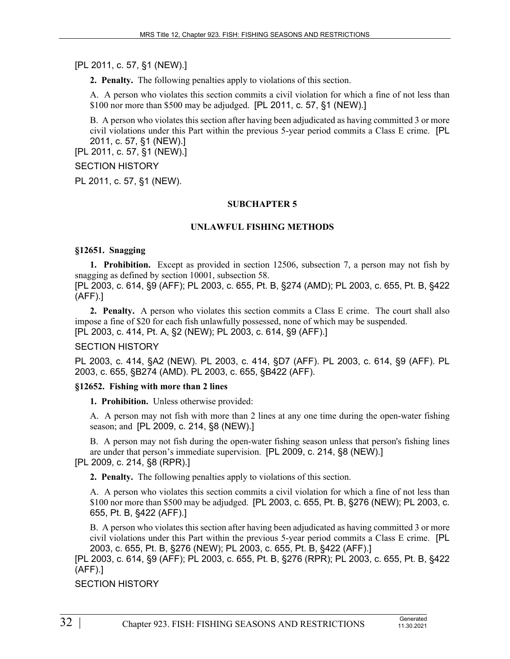[PL 2011, c. 57, §1 (NEW).]

**2. Penalty.** The following penalties apply to violations of this section.

A. A person who violates this section commits a civil violation for which a fine of not less than \$100 nor more than \$500 may be adjudged. [PL 2011, c. 57, §1 (NEW).]

B. A person who violates this section after having been adjudicated as having committed 3 or more civil violations under this Part within the previous 5-year period commits a Class E crime. [PL 2011, c. 57, §1 (NEW).]

[PL 2011, c. 57, §1 (NEW).]

## SECTION HISTORY

PL 2011, c. 57, §1 (NEW).

#### **SUBCHAPTER 5**

#### **UNLAWFUL FISHING METHODS**

#### **§12651. Snagging**

**1. Prohibition.** Except as provided in section 12506, subsection 7, a person may not fish by snagging as defined by section 10001, subsection 58.

[PL 2003, c. 614, §9 (AFF); PL 2003, c. 655, Pt. B, §274 (AMD); PL 2003, c. 655, Pt. B, §422 (AFF).]

**2. Penalty.** A person who violates this section commits a Class E crime. The court shall also impose a fine of \$20 for each fish unlawfully possessed, none of which may be suspended. [PL 2003, c. 414, Pt. A, §2 (NEW); PL 2003, c. 614, §9 (AFF).]

#### SECTION HISTORY

PL 2003, c. 414, §A2 (NEW). PL 2003, c. 414, §D7 (AFF). PL 2003, c. 614, §9 (AFF). PL 2003, c. 655, §B274 (AMD). PL 2003, c. 655, §B422 (AFF).

## **§12652. Fishing with more than 2 lines**

**1. Prohibition.** Unless otherwise provided:

A. A person may not fish with more than 2 lines at any one time during the open-water fishing season; and [PL 2009, c. 214, §8 (NEW).]

B. A person may not fish during the open-water fishing season unless that person's fishing lines are under that person's immediate supervision. [PL 2009, c. 214, §8 (NEW).]

## [PL 2009, c. 214, §8 (RPR).]

**2. Penalty.** The following penalties apply to violations of this section.

A. A person who violates this section commits a civil violation for which a fine of not less than \$100 nor more than \$500 may be adjudged. [PL 2003, c. 655, Pt. B, §276 (NEW); PL 2003, c. 655, Pt. B, §422 (AFF).]

B. A person who violates this section after having been adjudicated as having committed 3 or more civil violations under this Part within the previous 5-year period commits a Class E crime. [PL 2003, c. 655, Pt. B, §276 (NEW); PL 2003, c. 655, Pt. B, §422 (AFF).]

[PL 2003, c. 614, §9 (AFF); PL 2003, c. 655, Pt. B, §276 (RPR); PL 2003, c. 655, Pt. B, §422 (AFF).]

SECTION HISTORY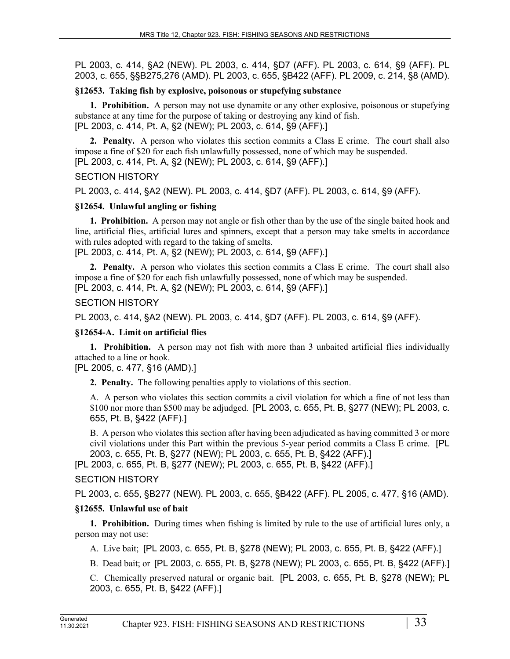PL 2003, c. 414, §A2 (NEW). PL 2003, c. 414, §D7 (AFF). PL 2003, c. 614, §9 (AFF). PL 2003, c. 655, §§B275,276 (AMD). PL 2003, c. 655, §B422 (AFF). PL 2009, c. 214, §8 (AMD).

#### **§12653. Taking fish by explosive, poisonous or stupefying substance**

**1. Prohibition.** A person may not use dynamite or any other explosive, poisonous or stupefying substance at any time for the purpose of taking or destroying any kind of fish. [PL 2003, c. 414, Pt. A, §2 (NEW); PL 2003, c. 614, §9 (AFF).]

**2. Penalty.** A person who violates this section commits a Class E crime. The court shall also impose a fine of \$20 for each fish unlawfully possessed, none of which may be suspended. [PL 2003, c. 414, Pt. A, §2 (NEW); PL 2003, c. 614, §9 (AFF).]

#### SECTION HISTORY

PL 2003, c. 414, §A2 (NEW). PL 2003, c. 414, §D7 (AFF). PL 2003, c. 614, §9 (AFF).

#### **§12654. Unlawful angling or fishing**

**1. Prohibition.** A person may not angle or fish other than by the use of the single baited hook and line, artificial flies, artificial lures and spinners, except that a person may take smelts in accordance with rules adopted with regard to the taking of smelts.

[PL 2003, c. 414, Pt. A, §2 (NEW); PL 2003, c. 614, §9 (AFF).]

**2. Penalty.** A person who violates this section commits a Class E crime. The court shall also impose a fine of \$20 for each fish unlawfully possessed, none of which may be suspended. [PL 2003, c. 414, Pt. A, §2 (NEW); PL 2003, c. 614, §9 (AFF).]

#### SECTION HISTORY

PL 2003, c. 414, §A2 (NEW). PL 2003, c. 414, §D7 (AFF). PL 2003, c. 614, §9 (AFF).

### **§12654-A. Limit on artificial flies**

**1. Prohibition.** A person may not fish with more than 3 unbaited artificial flies individually attached to a line or hook.

## [PL 2005, c. 477, §16 (AMD).]

**2. Penalty.** The following penalties apply to violations of this section.

A. A person who violates this section commits a civil violation for which a fine of not less than \$100 nor more than \$500 may be adjudged. [PL 2003, c. 655, Pt. B, §277 (NEW); PL 2003, c. 655, Pt. B, §422 (AFF).]

B. A person who violates this section after having been adjudicated as having committed 3 or more civil violations under this Part within the previous 5-year period commits a Class E crime. [PL 2003, c. 655, Pt. B, §277 (NEW); PL 2003, c. 655, Pt. B, §422 (AFF).]

[PL 2003, c. 655, Pt. B, §277 (NEW); PL 2003, c. 655, Pt. B, §422 (AFF).]

## SECTION HISTORY

PL 2003, c. 655, §B277 (NEW). PL 2003, c. 655, §B422 (AFF). PL 2005, c. 477, §16 (AMD).

## **§12655. Unlawful use of bait**

**1. Prohibition.** During times when fishing is limited by rule to the use of artificial lures only, a person may not use:

A. Live bait; [PL 2003, c. 655, Pt. B, §278 (NEW); PL 2003, c. 655, Pt. B, §422 (AFF).]

B. Dead bait; or [PL 2003, c. 655, Pt. B, §278 (NEW); PL 2003, c. 655, Pt. B, §422 (AFF).]

C. Chemically preserved natural or organic bait. [PL 2003, c. 655, Pt. B, §278 (NEW); PL 2003, c. 655, Pt. B, §422 (AFF).]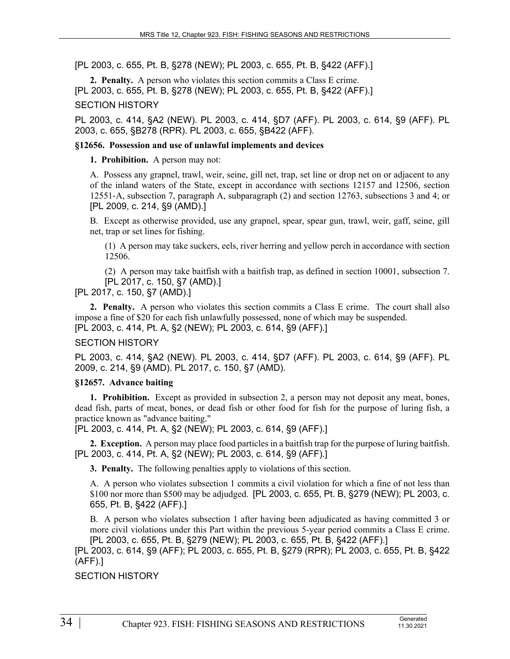[PL 2003, c. 655, Pt. B, §278 (NEW); PL 2003, c. 655, Pt. B, §422 (AFF).]

**2. Penalty.** A person who violates this section commits a Class E crime. [PL 2003, c. 655, Pt. B, §278 (NEW); PL 2003, c. 655, Pt. B, §422 (AFF).]

#### SECTION HISTORY

PL 2003, c. 414, §A2 (NEW). PL 2003, c. 414, §D7 (AFF). PL 2003, c. 614, §9 (AFF). PL 2003, c. 655, §B278 (RPR). PL 2003, c. 655, §B422 (AFF).

### **§12656. Possession and use of unlawful implements and devices**

**1. Prohibition.** A person may not:

A. Possess any grapnel, trawl, weir, seine, gill net, trap, set line or drop net on or adjacent to any of the inland waters of the State, except in accordance with sections 12157 and 12506, section 12551‑A, subsection 7, paragraph A, subparagraph (2) and section 12763, subsections 3 and 4; or [PL 2009, c. 214, §9 (AMD).]

B. Except as otherwise provided, use any grapnel, spear, spear gun, trawl, weir, gaff, seine, gill net, trap or set lines for fishing.

(1) A person may take suckers, eels, river herring and yellow perch in accordance with section 12506.

(2) A person may take baitfish with a baitfish trap, as defined in section 10001, subsection 7. [PL 2017, c. 150, §7 (AMD).]

[PL 2017, c. 150, §7 (AMD).]

**2. Penalty.** A person who violates this section commits a Class E crime. The court shall also impose a fine of \$20 for each fish unlawfully possessed, none of which may be suspended. [PL 2003, c. 414, Pt. A, §2 (NEW); PL 2003, c. 614, §9 (AFF).]

## SECTION HISTORY

PL 2003, c. 414, §A2 (NEW). PL 2003, c. 414, §D7 (AFF). PL 2003, c. 614, §9 (AFF). PL 2009, c. 214, §9 (AMD). PL 2017, c. 150, §7 (AMD).

## **§12657. Advance baiting**

**1. Prohibition.** Except as provided in subsection 2, a person may not deposit any meat, bones, dead fish, parts of meat, bones, or dead fish or other food for fish for the purpose of luring fish, a practice known as "advance baiting."

[PL 2003, c. 414, Pt. A, §2 (NEW); PL 2003, c. 614, §9 (AFF).]

**2. Exception.** A person may place food particles in a baitfish trap for the purpose of luring baitfish. [PL 2003, c. 414, Pt. A, §2 (NEW); PL 2003, c. 614, §9 (AFF).]

**3. Penalty.** The following penalties apply to violations of this section.

A. A person who violates subsection 1 commits a civil violation for which a fine of not less than \$100 nor more than \$500 may be adjudged. [PL 2003, c. 655, Pt. B, §279 (NEW); PL 2003, c. 655, Pt. B, §422 (AFF).]

B. A person who violates subsection 1 after having been adjudicated as having committed 3 or more civil violations under this Part within the previous 5-year period commits a Class E crime. [PL 2003, c. 655, Pt. B, §279 (NEW); PL 2003, c. 655, Pt. B, §422 (AFF).]

[PL 2003, c. 614, §9 (AFF); PL 2003, c. 655, Pt. B, §279 (RPR); PL 2003, c. 655, Pt. B, §422 (AFF).]

SECTION HISTORY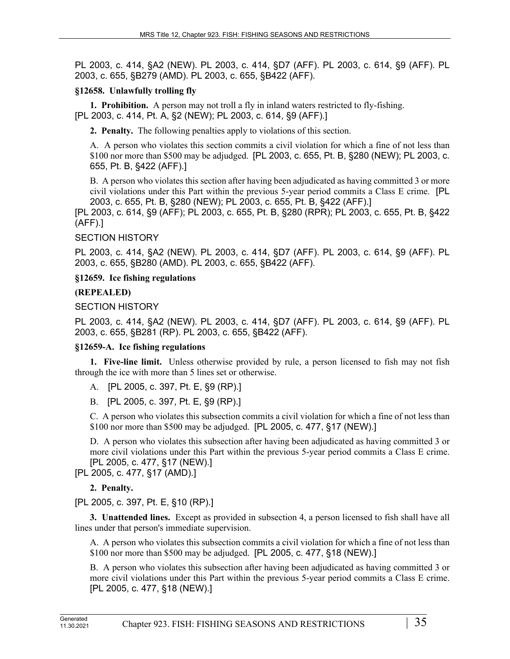PL 2003, c. 414, §A2 (NEW). PL 2003, c. 414, §D7 (AFF). PL 2003, c. 614, §9 (AFF). PL 2003, c. 655, §B279 (AMD). PL 2003, c. 655, §B422 (AFF).

# **§12658. Unlawfully trolling fly**

**1. Prohibition.** A person may not troll a fly in inland waters restricted to fly-fishing. [PL 2003, c. 414, Pt. A, §2 (NEW); PL 2003, c. 614, §9 (AFF).]

**2. Penalty.** The following penalties apply to violations of this section.

A. A person who violates this section commits a civil violation for which a fine of not less than \$100 nor more than \$500 may be adjudged. [PL 2003, c. 655, Pt. B, §280 (NEW); PL 2003, c. 655, Pt. B, §422 (AFF).]

B. A person who violates this section after having been adjudicated as having committed 3 or more civil violations under this Part within the previous 5-year period commits a Class E crime. [PL 2003, c. 655, Pt. B, §280 (NEW); PL 2003, c. 655, Pt. B, §422 (AFF).]

[PL 2003, c. 614, §9 (AFF); PL 2003, c. 655, Pt. B, §280 (RPR); PL 2003, c. 655, Pt. B, §422 (AFF).]

# SECTION HISTORY

PL 2003, c. 414, §A2 (NEW). PL 2003, c. 414, §D7 (AFF). PL 2003, c. 614, §9 (AFF). PL 2003, c. 655, §B280 (AMD). PL 2003, c. 655, §B422 (AFF).

# **§12659. Ice fishing regulations**

# **(REPEALED)**

# SECTION HISTORY

PL 2003, c. 414, §A2 (NEW). PL 2003, c. 414, §D7 (AFF). PL 2003, c. 614, §9 (AFF). PL 2003, c. 655, §B281 (RP). PL 2003, c. 655, §B422 (AFF).

# **§12659-A. Ice fishing regulations**

**1. Five-line limit.** Unless otherwise provided by rule, a person licensed to fish may not fish through the ice with more than 5 lines set or otherwise.

- A. [PL 2005, c. 397, Pt. E, §9 (RP).]
- B. [PL 2005, c. 397, Pt. E, §9 (RP).]

C. A person who violates this subsection commits a civil violation for which a fine of not less than \$100 nor more than \$500 may be adjudged. [PL 2005, c. 477, §17 (NEW).]

D. A person who violates this subsection after having been adjudicated as having committed 3 or more civil violations under this Part within the previous 5-year period commits a Class E crime. [PL 2005, c. 477, §17 (NEW).]

[PL 2005, c. 477, §17 (AMD).]

**2. Penalty.** 

[PL 2005, c. 397, Pt. E, §10 (RP).]

**3. Unattended lines.** Except as provided in subsection 4, a person licensed to fish shall have all lines under that person's immediate supervision.

A. A person who violates this subsection commits a civil violation for which a fine of not less than \$100 nor more than \$500 may be adjudged. [PL 2005, c. 477, §18 (NEW).]

B. A person who violates this subsection after having been adjudicated as having committed 3 or more civil violations under this Part within the previous 5-year period commits a Class E crime. [PL 2005, c. 477, §18 (NEW).]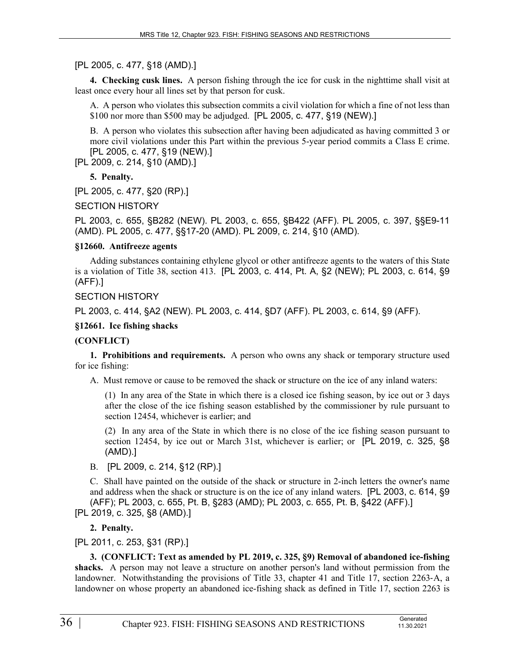## [PL 2005, c. 477, §18 (AMD).]

**4. Checking cusk lines.** A person fishing through the ice for cusk in the nighttime shall visit at least once every hour all lines set by that person for cusk.

A. A person who violates this subsection commits a civil violation for which a fine of not less than \$100 nor more than \$500 may be adjudged. [PL 2005, c. 477, §19 (NEW).]

B. A person who violates this subsection after having been adjudicated as having committed 3 or more civil violations under this Part within the previous 5-year period commits a Class E crime. [PL 2005, c. 477, §19 (NEW).]

[PL 2009, c. 214, §10 (AMD).]

**5. Penalty.** 

[PL 2005, c. 477, §20 (RP).]

SECTION HISTORY

PL 2003, c. 655, §B282 (NEW). PL 2003, c. 655, §B422 (AFF). PL 2005, c. 397, §§E9-11 (AMD). PL 2005, c. 477, §§17-20 (AMD). PL 2009, c. 214, §10 (AMD).

#### **§12660. Antifreeze agents**

Adding substances containing ethylene glycol or other antifreeze agents to the waters of this State is a violation of Title 38, section 413. [PL 2003, c. 414, Pt. A, §2 (NEW); PL 2003, c. 614, §9 (AFF).]

#### SECTION HISTORY

PL 2003, c. 414, §A2 (NEW). PL 2003, c. 414, §D7 (AFF). PL 2003, c. 614, §9 (AFF).

**§12661. Ice fishing shacks**

## **(CONFLICT)**

**1. Prohibitions and requirements.** A person who owns any shack or temporary structure used for ice fishing:

A. Must remove or cause to be removed the shack or structure on the ice of any inland waters:

(1) In any area of the State in which there is a closed ice fishing season, by ice out or 3 days after the close of the ice fishing season established by the commissioner by rule pursuant to section 12454, whichever is earlier; and

(2) In any area of the State in which there is no close of the ice fishing season pursuant to section 12454, by ice out or March 31st, whichever is earlier; or [PL 2019, c. 325, §8 (AMD).]

B. [PL 2009, c. 214, §12 (RP).]

C. Shall have painted on the outside of the shack or structure in 2-inch letters the owner's name and address when the shack or structure is on the ice of any inland waters. [PL 2003, c. 614, §9 (AFF); PL 2003, c. 655, Pt. B, §283 (AMD); PL 2003, c. 655, Pt. B, §422 (AFF).] [PL 2019, c. 325, §8 (AMD).]

## **2. Penalty.**

[PL 2011, c. 253, §31 (RP).]

**3. (CONFLICT: Text as amended by PL 2019, c. 325, §9) Removal of abandoned ice-fishing shacks.** A person may not leave a structure on another person's land without permission from the landowner. Notwithstanding the provisions of Title 33, chapter 41 and Title 17, section 2263-A, a landowner on whose property an abandoned ice-fishing shack as defined in Title 17, section 2263 is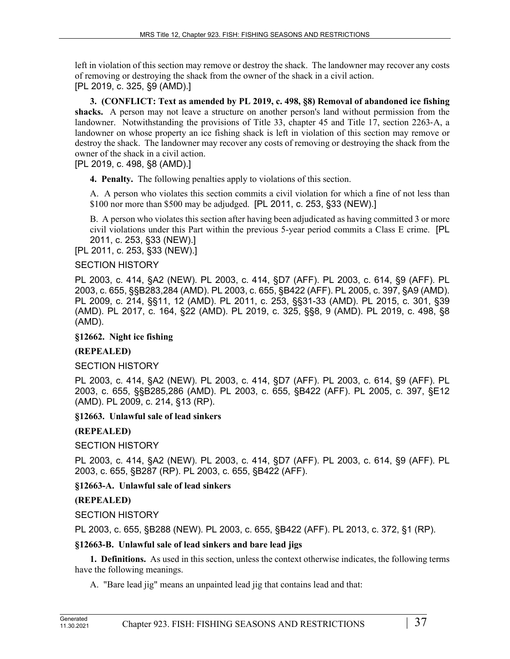left in violation of this section may remove or destroy the shack. The landowner may recover any costs of removing or destroying the shack from the owner of the shack in a civil action. [PL 2019, c. 325, §9 (AMD).]

**3. (CONFLICT: Text as amended by PL 2019, c. 498, §8) Removal of abandoned ice fishing shacks.** A person may not leave a structure on another person's land without permission from the landowner. Notwithstanding the provisions of Title 33, chapter 45 and Title 17, section 2263-A, a landowner on whose property an ice fishing shack is left in violation of this section may remove or destroy the shack. The landowner may recover any costs of removing or destroying the shack from the owner of the shack in a civil action.

# [PL 2019, c. 498, §8 (AMD).]

**4. Penalty.** The following penalties apply to violations of this section.

A. A person who violates this section commits a civil violation for which a fine of not less than \$100 nor more than \$500 may be adjudged. [PL 2011, c. 253, §33 (NEW).]

B. A person who violates this section after having been adjudicated as having committed 3 or more civil violations under this Part within the previous 5-year period commits a Class E crime. [PL 2011, c. 253, §33 (NEW).]

[PL 2011, c. 253, §33 (NEW).]

## SECTION HISTORY

PL 2003, c. 414, §A2 (NEW). PL 2003, c. 414, §D7 (AFF). PL 2003, c. 614, §9 (AFF). PL 2003, c. 655, §§B283,284 (AMD). PL 2003, c. 655, §B422 (AFF). PL 2005, c. 397, §A9 (AMD). PL 2009, c. 214, §§11, 12 (AMD). PL 2011, c. 253, §§31-33 (AMD). PL 2015, c. 301, §39 (AMD). PL 2017, c. 164, §22 (AMD). PL 2019, c. 325, §§8, 9 (AMD). PL 2019, c. 498, §8 (AMD).

# **§12662. Night ice fishing**

# **(REPEALED)**

# SECTION HISTORY

PL 2003, c. 414, §A2 (NEW). PL 2003, c. 414, §D7 (AFF). PL 2003, c. 614, §9 (AFF). PL 2003, c. 655, §§B285,286 (AMD). PL 2003, c. 655, §B422 (AFF). PL 2005, c. 397, §E12 (AMD). PL 2009, c. 214, §13 (RP).

# **§12663. Unlawful sale of lead sinkers**

# **(REPEALED)**

SECTION HISTORY

PL 2003, c. 414, §A2 (NEW). PL 2003, c. 414, §D7 (AFF). PL 2003, c. 614, §9 (AFF). PL 2003, c. 655, §B287 (RP). PL 2003, c. 655, §B422 (AFF).

# **§12663-A. Unlawful sale of lead sinkers**

# **(REPEALED)**

SECTION HISTORY

PL 2003, c. 655, §B288 (NEW). PL 2003, c. 655, §B422 (AFF). PL 2013, c. 372, §1 (RP).

## **§12663-B. Unlawful sale of lead sinkers and bare lead jigs**

**1. Definitions.** As used in this section, unless the context otherwise indicates, the following terms have the following meanings.

A. "Bare lead jig" means an unpainted lead jig that contains lead and that: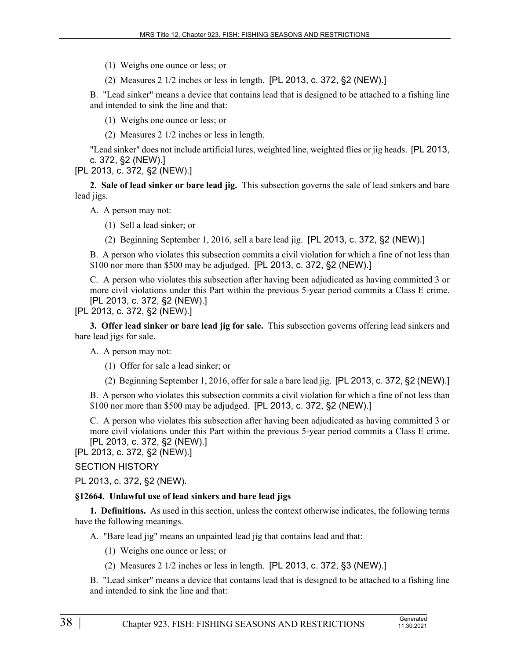(1) Weighs one ounce or less; or

(2) Measures 2 1/2 inches or less in length. [PL 2013, c. 372, §2 (NEW).]

B. "Lead sinker" means a device that contains lead that is designed to be attached to a fishing line and intended to sink the line and that:

(1) Weighs one ounce or less; or

(2) Measures 2 1/2 inches or less in length.

"Lead sinker" does not include artificial lures, weighted line, weighted flies or jig heads. [PL 2013, c. 372, §2 (NEW).]

[PL 2013, c. 372, §2 (NEW).]

**2. Sale of lead sinker or bare lead jig.** This subsection governs the sale of lead sinkers and bare lead jigs.

A. A person may not:

(1) Sell a lead sinker; or

(2) Beginning September 1, 2016, sell a bare lead jig. [PL 2013, c. 372, §2 (NEW).]

B. A person who violates this subsection commits a civil violation for which a fine of not less than \$100 nor more than \$500 may be adjudged. [PL 2013, c. 372, §2 (NEW).]

C. A person who violates this subsection after having been adjudicated as having committed 3 or more civil violations under this Part within the previous 5-year period commits a Class E crime. [PL 2013, c. 372, §2 (NEW).]

[PL 2013, c. 372, §2 (NEW).]

**3. Offer lead sinker or bare lead jig for sale.** This subsection governs offering lead sinkers and bare lead jigs for sale.

A. A person may not:

(1) Offer for sale a lead sinker; or

(2) Beginning September 1, 2016, offer for sale a bare lead jig. [PL 2013, c. 372, §2 (NEW).]

B. A person who violates this subsection commits a civil violation for which a fine of not less than \$100 nor more than \$500 may be adjudged. [PL 2013, c. 372, §2 (NEW).]

C. A person who violates this subsection after having been adjudicated as having committed 3 or more civil violations under this Part within the previous 5-year period commits a Class E crime. [PL 2013, c. 372, §2 (NEW).]

[PL 2013, c. 372, §2 (NEW).]

# SECTION HISTORY

PL 2013, c. 372, §2 (NEW).

# **§12664. Unlawful use of lead sinkers and bare lead jigs**

**1. Definitions.** As used in this section, unless the context otherwise indicates, the following terms have the following meanings.

A. "Bare lead jig" means an unpainted lead jig that contains lead and that:

- (1) Weighs one ounce or less; or
- (2) Measures 2 1/2 inches or less in length. [PL 2013, c. 372, §3 (NEW).]

B. "Lead sinker" means a device that contains lead that is designed to be attached to a fishing line and intended to sink the line and that: